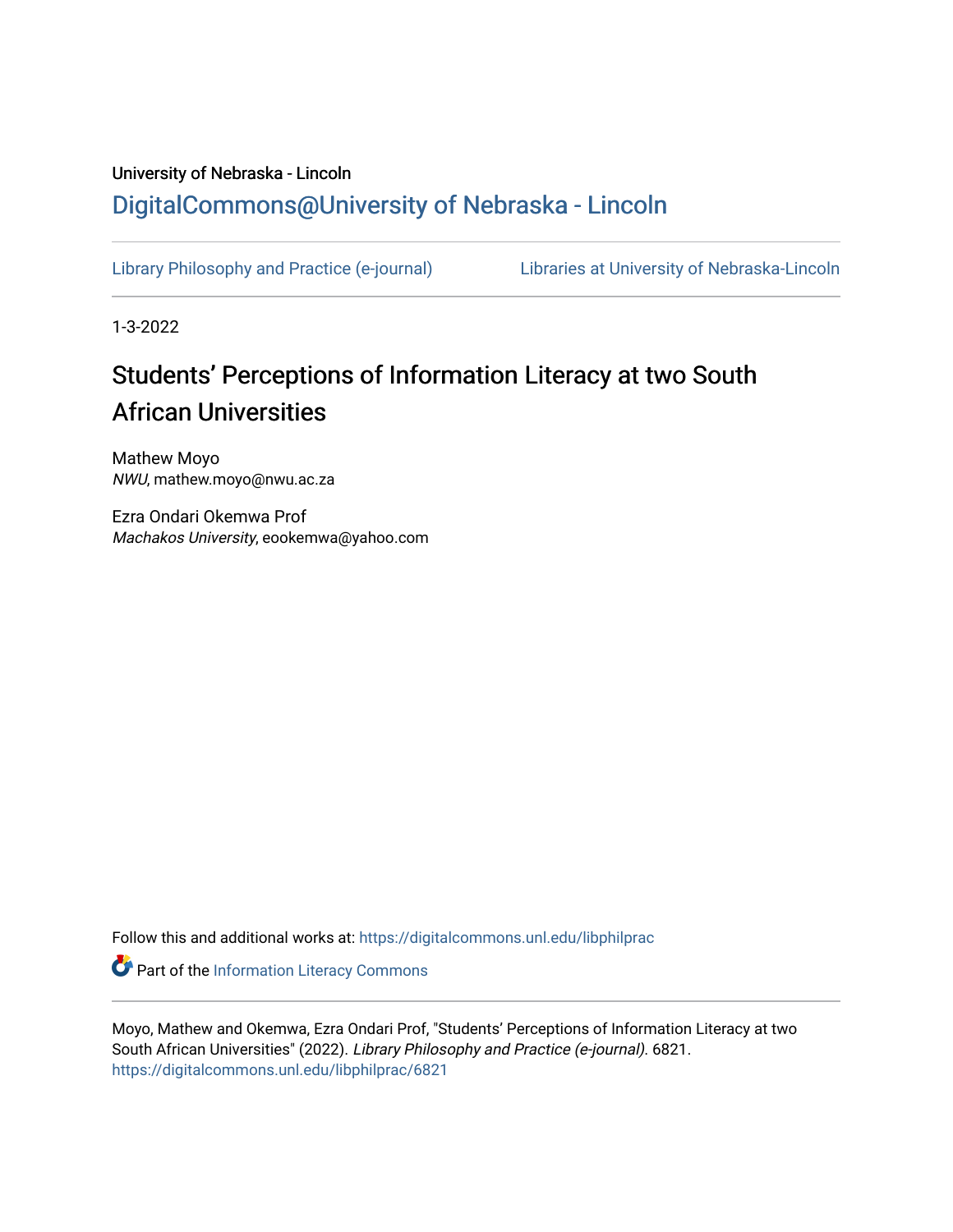## University of Nebraska - Lincoln [DigitalCommons@University of Nebraska - Lincoln](https://digitalcommons.unl.edu/)

[Library Philosophy and Practice \(e-journal\)](https://digitalcommons.unl.edu/libphilprac) [Libraries at University of Nebraska-Lincoln](https://digitalcommons.unl.edu/libraries) 

1-3-2022

# Students' Perceptions of Information Literacy at two South African Universities

Mathew Moyo NWU, mathew.moyo@nwu.ac.za

Ezra Ondari Okemwa Prof Machakos University, eookemwa@yahoo.com

Follow this and additional works at: [https://digitalcommons.unl.edu/libphilprac](https://digitalcommons.unl.edu/libphilprac?utm_source=digitalcommons.unl.edu%2Flibphilprac%2F6821&utm_medium=PDF&utm_campaign=PDFCoverPages) 

**Part of the [Information Literacy Commons](http://network.bepress.com/hgg/discipline/1243?utm_source=digitalcommons.unl.edu%2Flibphilprac%2F6821&utm_medium=PDF&utm_campaign=PDFCoverPages)** 

Moyo, Mathew and Okemwa, Ezra Ondari Prof, "Students' Perceptions of Information Literacy at two South African Universities" (2022). Library Philosophy and Practice (e-journal). 6821. [https://digitalcommons.unl.edu/libphilprac/6821](https://digitalcommons.unl.edu/libphilprac/6821?utm_source=digitalcommons.unl.edu%2Flibphilprac%2F6821&utm_medium=PDF&utm_campaign=PDFCoverPages)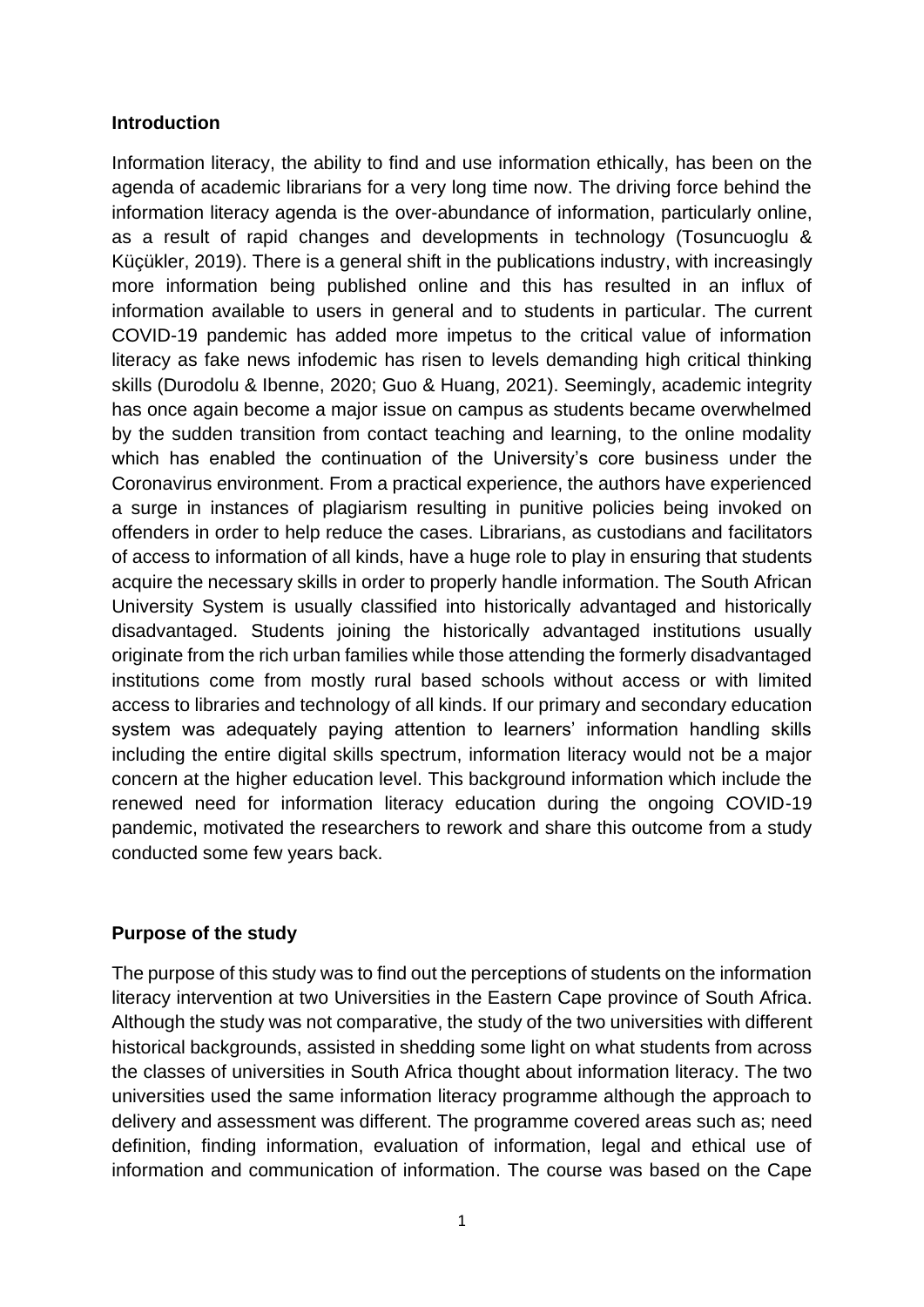#### **Introduction**

Information literacy, the ability to find and use information ethically, has been on the agenda of academic librarians for a very long time now. The driving force behind the information literacy agenda is the over-abundance of information, particularly online, as a result of rapid changes and developments in technology (Tosuncuoglu & Küçükler, 2019). There is a general shift in the publications industry, with increasingly more information being published online and this has resulted in an influx of information available to users in general and to students in particular. The current COVID-19 pandemic has added more impetus to the critical value of information literacy as fake news infodemic has risen to levels demanding high critical thinking skills (Durodolu & Ibenne, 2020; Guo & Huang, 2021). Seemingly, academic integrity has once again become a major issue on campus as students became overwhelmed by the sudden transition from contact teaching and learning, to the online modality which has enabled the continuation of the University's core business under the Coronavirus environment. From a practical experience, the authors have experienced a surge in instances of plagiarism resulting in punitive policies being invoked on offenders in order to help reduce the cases. Librarians, as custodians and facilitators of access to information of all kinds, have a huge role to play in ensuring that students acquire the necessary skills in order to properly handle information. The South African University System is usually classified into historically advantaged and historically disadvantaged. Students joining the historically advantaged institutions usually originate from the rich urban families while those attending the formerly disadvantaged institutions come from mostly rural based schools without access or with limited access to libraries and technology of all kinds. If our primary and secondary education system was adequately paying attention to learners' information handling skills including the entire digital skills spectrum, information literacy would not be a major concern at the higher education level. This background information which include the renewed need for information literacy education during the ongoing COVID-19 pandemic, motivated the researchers to rework and share this outcome from a study conducted some few years back.

#### **Purpose of the study**

The purpose of this study was to find out the perceptions of students on the information literacy intervention at two Universities in the Eastern Cape province of South Africa. Although the study was not comparative, the study of the two universities with different historical backgrounds, assisted in shedding some light on what students from across the classes of universities in South Africa thought about information literacy. The two universities used the same information literacy programme although the approach to delivery and assessment was different. The programme covered areas such as; need definition, finding information, evaluation of information, legal and ethical use of information and communication of information. The course was based on the Cape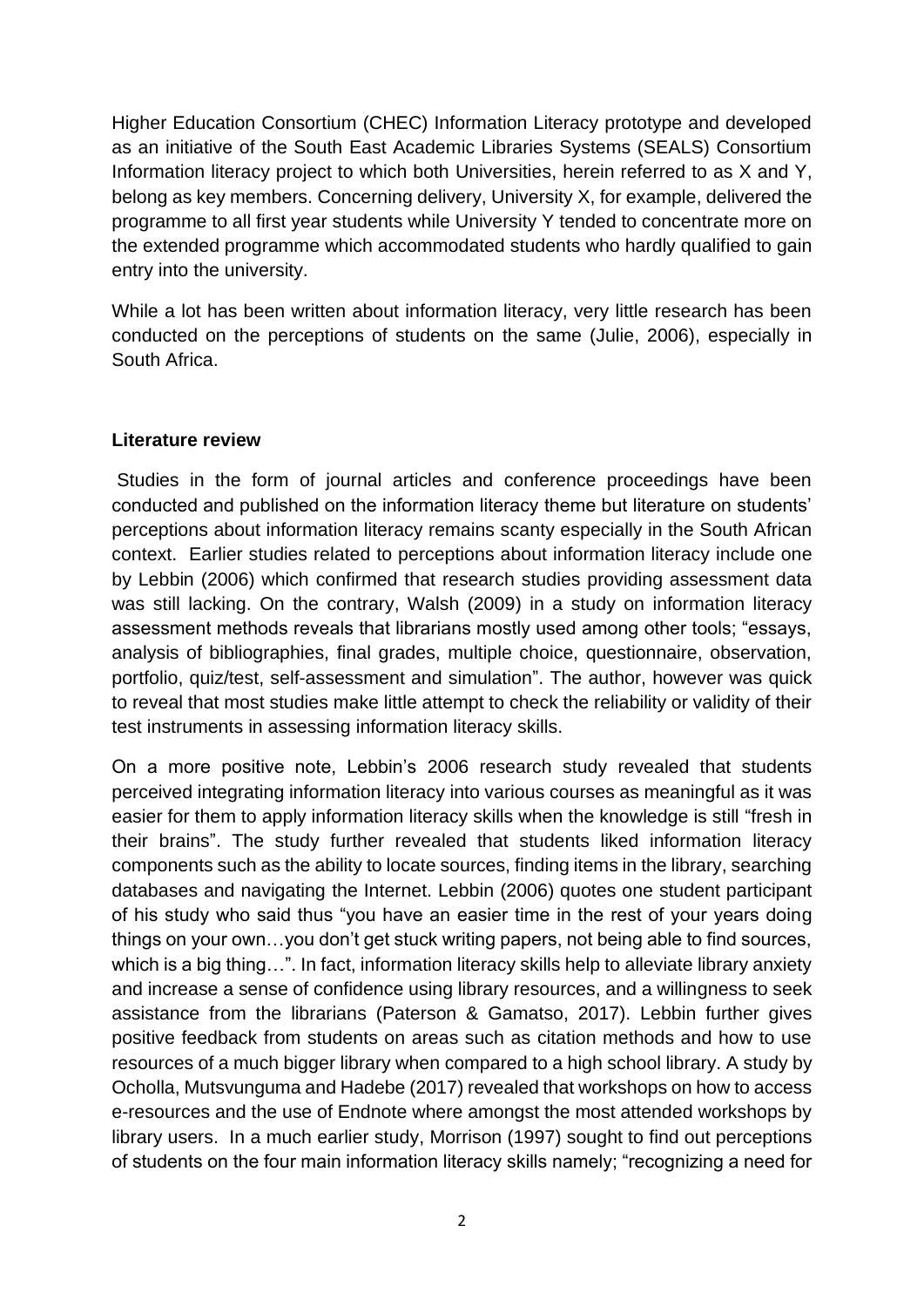Higher Education Consortium (CHEC) Information Literacy prototype and developed as an initiative of the South East Academic Libraries Systems (SEALS) Consortium Information literacy project to which both Universities, herein referred to as X and Y, belong as key members. Concerning delivery, University X, for example, delivered the programme to all first year students while University Y tended to concentrate more on the extended programme which accommodated students who hardly qualified to gain entry into the university.

While a lot has been written about information literacy, very little research has been conducted on the perceptions of students on the same (Julie, 2006), especially in South Africa.

#### **Literature review**

Studies in the form of journal articles and conference proceedings have been conducted and published on the information literacy theme but literature on students' perceptions about information literacy remains scanty especially in the South African context. Earlier studies related to perceptions about information literacy include one by Lebbin (2006) which confirmed that research studies providing assessment data was still lacking. On the contrary, Walsh (2009) in a study on information literacy assessment methods reveals that librarians mostly used among other tools; "essays, analysis of bibliographies, final grades, multiple choice, questionnaire, observation, portfolio, quiz/test, self-assessment and simulation". The author, however was quick to reveal that most studies make little attempt to check the reliability or validity of their test instruments in assessing information literacy skills.

On a more positive note, Lebbin's 2006 research study revealed that students perceived integrating information literacy into various courses as meaningful as it was easier for them to apply information literacy skills when the knowledge is still "fresh in their brains". The study further revealed that students liked information literacy components such as the ability to locate sources, finding items in the library, searching databases and navigating the Internet. Lebbin (2006) quotes one student participant of his study who said thus "you have an easier time in the rest of your years doing things on your own…you don't get stuck writing papers, not being able to find sources, which is a big thing…". In fact, information literacy skills help to alleviate library anxiety and increase a sense of confidence using library resources, and a willingness to seek assistance from the librarians (Paterson & Gamatso, 2017). Lebbin further gives positive feedback from students on areas such as citation methods and how to use resources of a much bigger library when compared to a high school library. A study by Ocholla, Mutsvunguma and Hadebe (2017) revealed that workshops on how to access e-resources and the use of Endnote where amongst the most attended workshops by library users. In a much earlier study, Morrison (1997) sought to find out perceptions of students on the four main information literacy skills namely; "recognizing a need for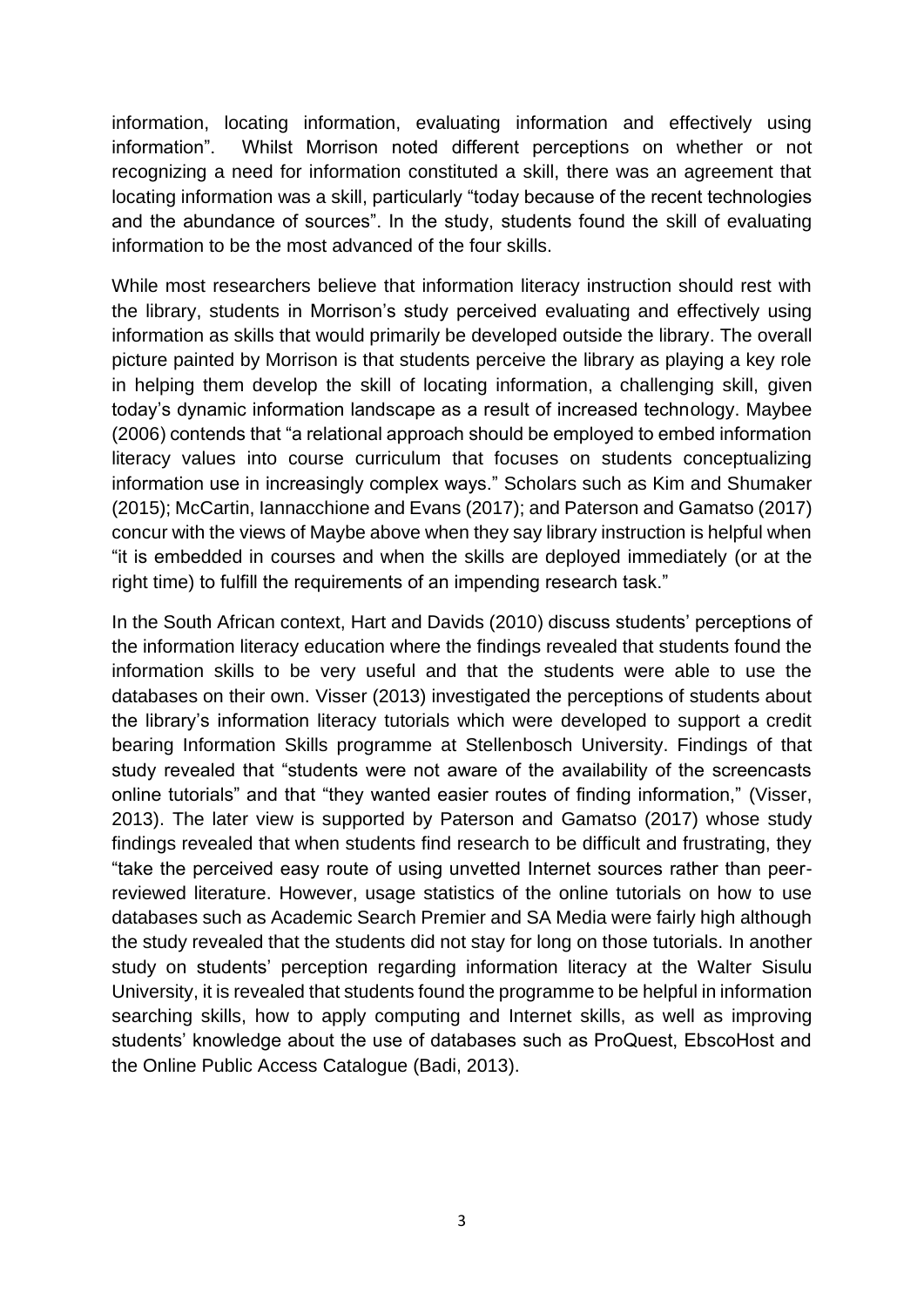information, locating information, evaluating information and effectively using information". Whilst Morrison noted different perceptions on whether or not recognizing a need for information constituted a skill, there was an agreement that locating information was a skill, particularly "today because of the recent technologies and the abundance of sources". In the study, students found the skill of evaluating information to be the most advanced of the four skills.

While most researchers believe that information literacy instruction should rest with the library, students in Morrison's study perceived evaluating and effectively using information as skills that would primarily be developed outside the library. The overall picture painted by Morrison is that students perceive the library as playing a key role in helping them develop the skill of locating information, a challenging skill, given today's dynamic information landscape as a result of increased technology. Maybee (2006) contends that "a relational approach should be employed to embed information literacy values into course curriculum that focuses on students conceptualizing information use in increasingly complex ways." Scholars such as Kim and Shumaker (2015); McCartin, Iannacchione and Evans (2017); and Paterson and Gamatso (2017) concur with the views of Maybe above when they say library instruction is helpful when "it is embedded in courses and when the skills are deployed immediately (or at the right time) to fulfill the requirements of an impending research task."

In the South African context, Hart and Davids (2010) discuss students' perceptions of the information literacy education where the findings revealed that students found the information skills to be very useful and that the students were able to use the databases on their own. Visser (2013) investigated the perceptions of students about the library's information literacy tutorials which were developed to support a credit bearing Information Skills programme at Stellenbosch University. Findings of that study revealed that "students were not aware of the availability of the screencasts online tutorials" and that "they wanted easier routes of finding information," (Visser, 2013). The later view is supported by Paterson and Gamatso (2017) whose study findings revealed that when students find research to be difficult and frustrating, they "take the perceived easy route of using unvetted Internet sources rather than peerreviewed literature. However, usage statistics of the online tutorials on how to use databases such as Academic Search Premier and SA Media were fairly high although the study revealed that the students did not stay for long on those tutorials. In another study on students' perception regarding information literacy at the Walter Sisulu University, it is revealed that students found the programme to be helpful in information searching skills, how to apply computing and Internet skills, as well as improving students' knowledge about the use of databases such as ProQuest, EbscoHost and the Online Public Access Catalogue (Badi, 2013).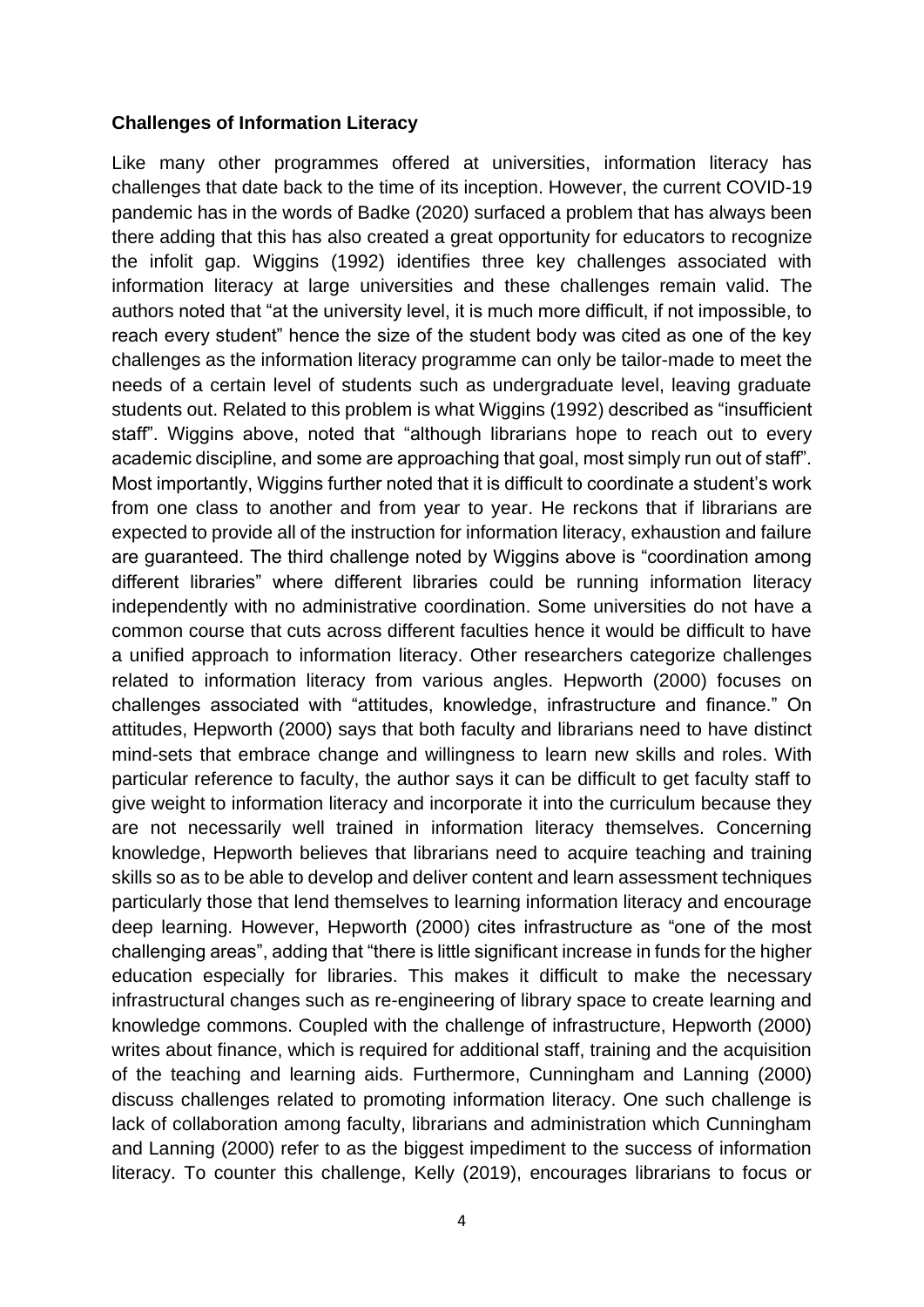#### **Challenges of Information Literacy**

Like many other programmes offered at universities, information literacy has challenges that date back to the time of its inception. However, the current COVID-19 pandemic has in the words of Badke (2020) surfaced a problem that has always been there adding that this has also created a great opportunity for educators to recognize the infolit gap. Wiggins (1992) identifies three key challenges associated with information literacy at large universities and these challenges remain valid. The authors noted that "at the university level, it is much more difficult, if not impossible, to reach every student" hence the size of the student body was cited as one of the key challenges as the information literacy programme can only be tailor-made to meet the needs of a certain level of students such as undergraduate level, leaving graduate students out. Related to this problem is what Wiggins (1992) described as "insufficient staff". Wiggins above, noted that "although librarians hope to reach out to every academic discipline, and some are approaching that goal, most simply run out of staff". Most importantly, Wiggins further noted that it is difficult to coordinate a student's work from one class to another and from year to year. He reckons that if librarians are expected to provide all of the instruction for information literacy, exhaustion and failure are guaranteed. The third challenge noted by Wiggins above is "coordination among different libraries" where different libraries could be running information literacy independently with no administrative coordination. Some universities do not have a common course that cuts across different faculties hence it would be difficult to have a unified approach to information literacy. Other researchers categorize challenges related to information literacy from various angles. Hepworth (2000) focuses on challenges associated with "attitudes, knowledge, infrastructure and finance." On attitudes, Hepworth (2000) says that both faculty and librarians need to have distinct mind-sets that embrace change and willingness to learn new skills and roles. With particular reference to faculty, the author says it can be difficult to get faculty staff to give weight to information literacy and incorporate it into the curriculum because they are not necessarily well trained in information literacy themselves. Concerning knowledge, Hepworth believes that librarians need to acquire teaching and training skills so as to be able to develop and deliver content and learn assessment techniques particularly those that lend themselves to learning information literacy and encourage deep learning. However, Hepworth (2000) cites infrastructure as "one of the most challenging areas", adding that "there is little significant increase in funds for the higher education especially for libraries. This makes it difficult to make the necessary infrastructural changes such as re-engineering of library space to create learning and knowledge commons. Coupled with the challenge of infrastructure, Hepworth (2000) writes about finance, which is required for additional staff, training and the acquisition of the teaching and learning aids. Furthermore, Cunningham and Lanning (2000) discuss challenges related to promoting information literacy. One such challenge is lack of collaboration among faculty, librarians and administration which Cunningham and Lanning (2000) refer to as the biggest impediment to the success of information literacy. To counter this challenge, Kelly (2019), encourages librarians to focus or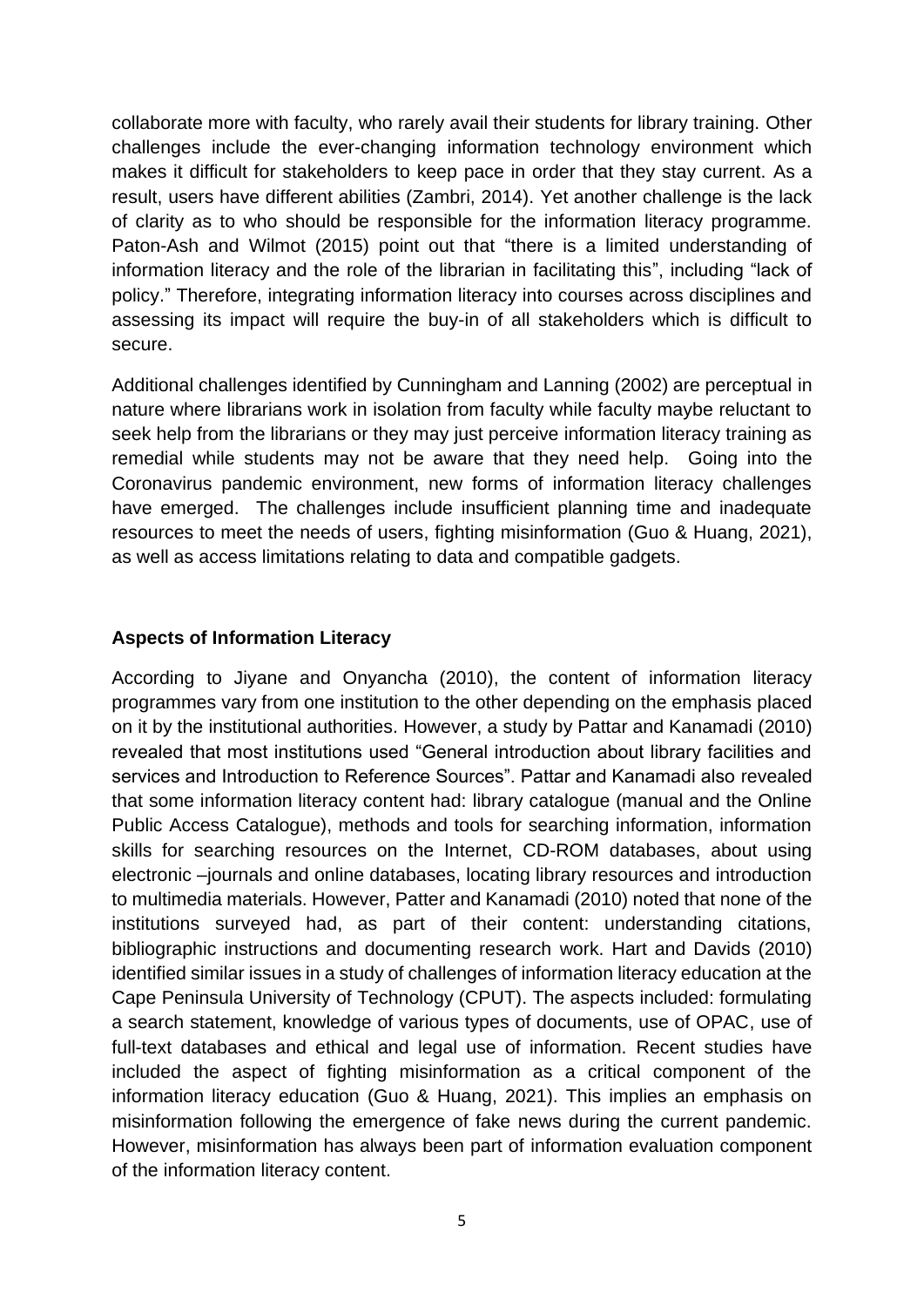collaborate more with faculty, who rarely avail their students for library training. Other challenges include the ever-changing information technology environment which makes it difficult for stakeholders to keep pace in order that they stay current. As a result, users have different abilities (Zambri, 2014). Yet another challenge is the lack of clarity as to who should be responsible for the information literacy programme. Paton-Ash and Wilmot (2015) point out that "there is a limited understanding of information literacy and the role of the librarian in facilitating this", including "lack of policy." Therefore, integrating information literacy into courses across disciplines and assessing its impact will require the buy-in of all stakeholders which is difficult to secure.

Additional challenges identified by Cunningham and Lanning (2002) are perceptual in nature where librarians work in isolation from faculty while faculty maybe reluctant to seek help from the librarians or they may just perceive information literacy training as remedial while students may not be aware that they need help. Going into the Coronavirus pandemic environment, new forms of information literacy challenges have emerged. The challenges include insufficient planning time and inadequate resources to meet the needs of users, fighting misinformation (Guo & Huang, 2021), as well as access limitations relating to data and compatible gadgets.

#### **Aspects of Information Literacy**

According to Jiyane and Onyancha (2010), the content of information literacy programmes vary from one institution to the other depending on the emphasis placed on it by the institutional authorities. However, a study by Pattar and Kanamadi (2010) revealed that most institutions used "General introduction about library facilities and services and Introduction to Reference Sources". Pattar and Kanamadi also revealed that some information literacy content had: library catalogue (manual and the Online Public Access Catalogue), methods and tools for searching information, information skills for searching resources on the Internet, CD-ROM databases, about using electronic –journals and online databases, locating library resources and introduction to multimedia materials. However, Patter and Kanamadi (2010) noted that none of the institutions surveyed had, as part of their content: understanding citations, bibliographic instructions and documenting research work. Hart and Davids (2010) identified similar issues in a study of challenges of information literacy education at the Cape Peninsula University of Technology (CPUT). The aspects included: formulating a search statement, knowledge of various types of documents, use of OPAC, use of full-text databases and ethical and legal use of information. Recent studies have included the aspect of fighting misinformation as a critical component of the information literacy education (Guo & Huang, 2021). This implies an emphasis on misinformation following the emergence of fake news during the current pandemic. However, misinformation has always been part of information evaluation component of the information literacy content.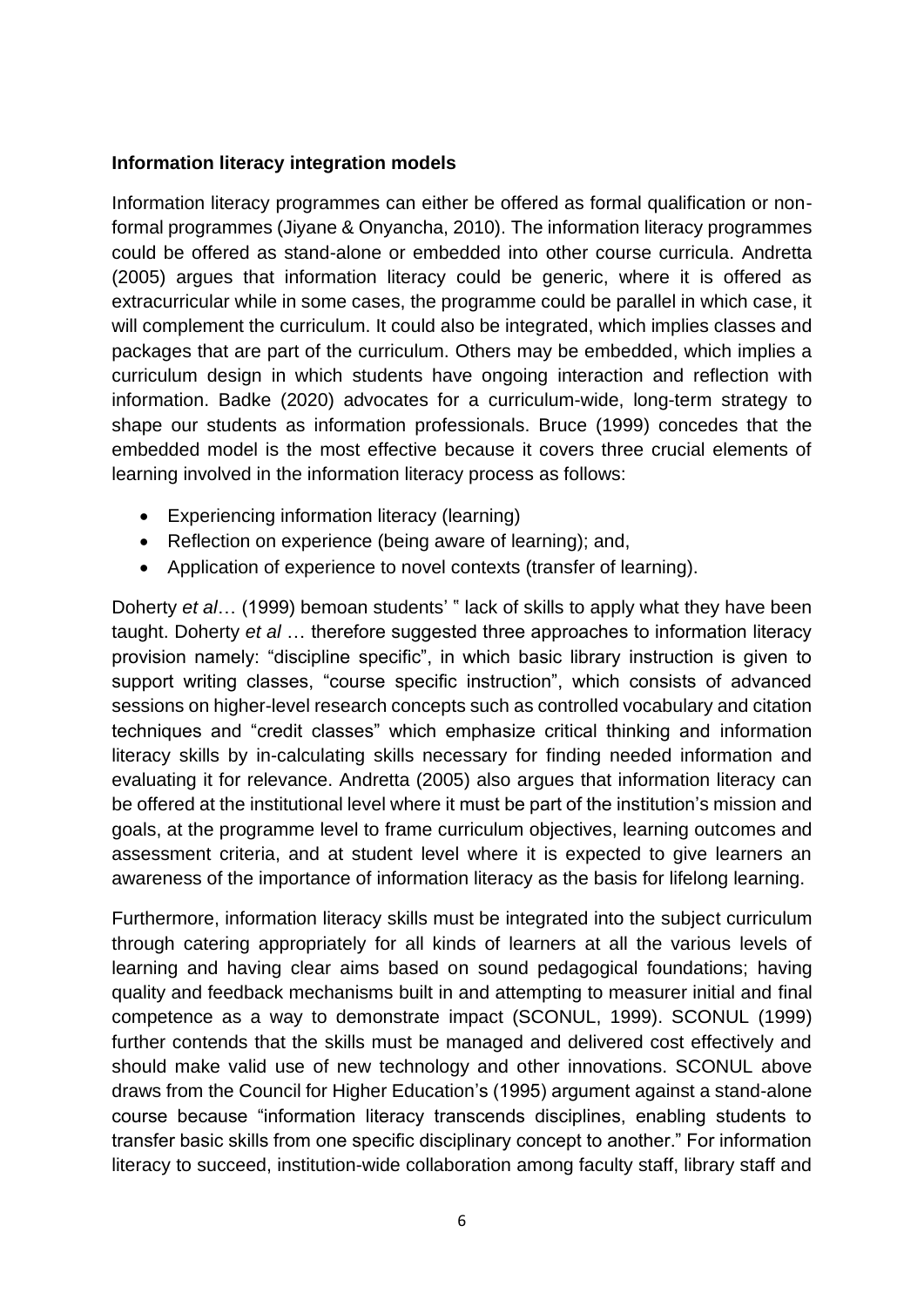#### **Information literacy integration models**

Information literacy programmes can either be offered as formal qualification or nonformal programmes (Jiyane & Onyancha, 2010). The information literacy programmes could be offered as stand-alone or embedded into other course curricula. Andretta (2005) argues that information literacy could be generic, where it is offered as extracurricular while in some cases, the programme could be parallel in which case, it will complement the curriculum. It could also be integrated, which implies classes and packages that are part of the curriculum. Others may be embedded, which implies a curriculum design in which students have ongoing interaction and reflection with information. Badke (2020) advocates for a curriculum-wide, long-term strategy to shape our students as information professionals. Bruce (1999) concedes that the embedded model is the most effective because it covers three crucial elements of learning involved in the information literacy process as follows:

- Experiencing information literacy (learning)
- Reflection on experience (being aware of learning); and,
- Application of experience to novel contexts (transfer of learning).

Doherty *et al*… (1999) bemoan students' " lack of skills to apply what they have been taught. Doherty *et al* … therefore suggested three approaches to information literacy provision namely: "discipline specific", in which basic library instruction is given to support writing classes, "course specific instruction", which consists of advanced sessions on higher-level research concepts such as controlled vocabulary and citation techniques and "credit classes" which emphasize critical thinking and information literacy skills by in-calculating skills necessary for finding needed information and evaluating it for relevance. Andretta (2005) also argues that information literacy can be offered at the institutional level where it must be part of the institution's mission and goals, at the programme level to frame curriculum objectives, learning outcomes and assessment criteria, and at student level where it is expected to give learners an awareness of the importance of information literacy as the basis for lifelong learning.

Furthermore, information literacy skills must be integrated into the subject curriculum through catering appropriately for all kinds of learners at all the various levels of learning and having clear aims based on sound pedagogical foundations; having quality and feedback mechanisms built in and attempting to measurer initial and final competence as a way to demonstrate impact (SCONUL, 1999). SCONUL (1999) further contends that the skills must be managed and delivered cost effectively and should make valid use of new technology and other innovations. SCONUL above draws from the Council for Higher Education's (1995) argument against a stand-alone course because "information literacy transcends disciplines, enabling students to transfer basic skills from one specific disciplinary concept to another." For information literacy to succeed, institution-wide collaboration among faculty staff, library staff and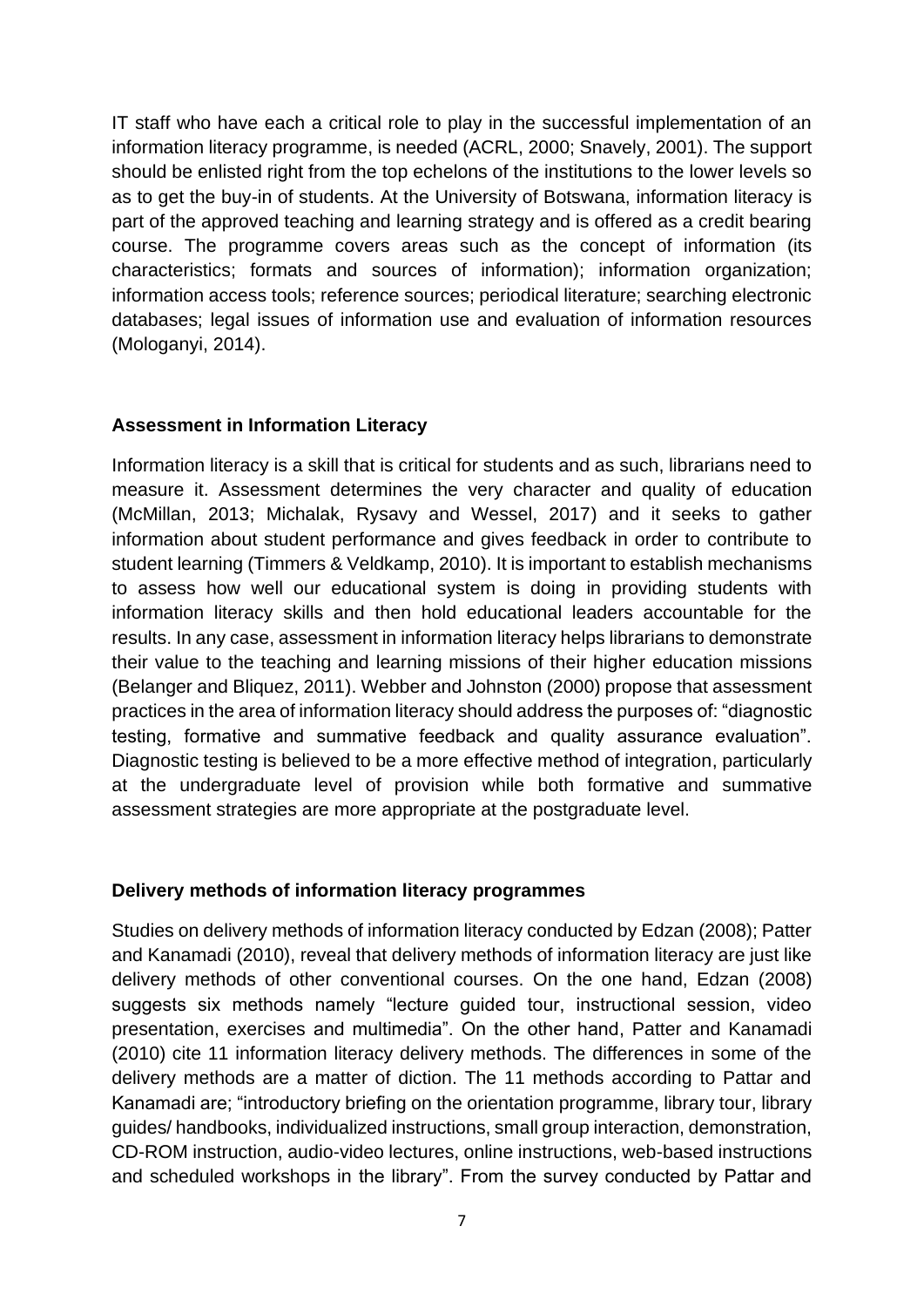IT staff who have each a critical role to play in the successful implementation of an information literacy programme, is needed (ACRL, 2000; Snavely, 2001). The support should be enlisted right from the top echelons of the institutions to the lower levels so as to get the buy-in of students. At the University of Botswana, information literacy is part of the approved teaching and learning strategy and is offered as a credit bearing course. The programme covers areas such as the concept of information (its characteristics; formats and sources of information); information organization; information access tools; reference sources; periodical literature; searching electronic databases; legal issues of information use and evaluation of information resources (Mologanyi, 2014).

#### **Assessment in Information Literacy**

Information literacy is a skill that is critical for students and as such, librarians need to measure it. Assessment determines the very character and quality of education (McMillan, 2013; Michalak, Rysavy and Wessel, 2017) and it seeks to gather information about student performance and gives feedback in order to contribute to student learning (Timmers & Veldkamp, 2010). It is important to establish mechanisms to assess how well our educational system is doing in providing students with information literacy skills and then hold educational leaders accountable for the results. In any case, assessment in information literacy helps librarians to demonstrate their value to the teaching and learning missions of their higher education missions (Belanger and Bliquez, 2011). Webber and Johnston (2000) propose that assessment practices in the area of information literacy should address the purposes of: "diagnostic testing, formative and summative feedback and quality assurance evaluation". Diagnostic testing is believed to be a more effective method of integration, particularly at the undergraduate level of provision while both formative and summative assessment strategies are more appropriate at the postgraduate level.

#### **Delivery methods of information literacy programmes**

Studies on delivery methods of information literacy conducted by Edzan (2008); Patter and Kanamadi (2010), reveal that delivery methods of information literacy are just like delivery methods of other conventional courses. On the one hand, Edzan (2008) suggests six methods namely "lecture guided tour, instructional session, video presentation, exercises and multimedia". On the other hand, Patter and Kanamadi (2010) cite 11 information literacy delivery methods. The differences in some of the delivery methods are a matter of diction. The 11 methods according to Pattar and Kanamadi are; "introductory briefing on the orientation programme, library tour, library guides/ handbooks, individualized instructions, small group interaction, demonstration, CD-ROM instruction, audio-video lectures, online instructions, web-based instructions and scheduled workshops in the library". From the survey conducted by Pattar and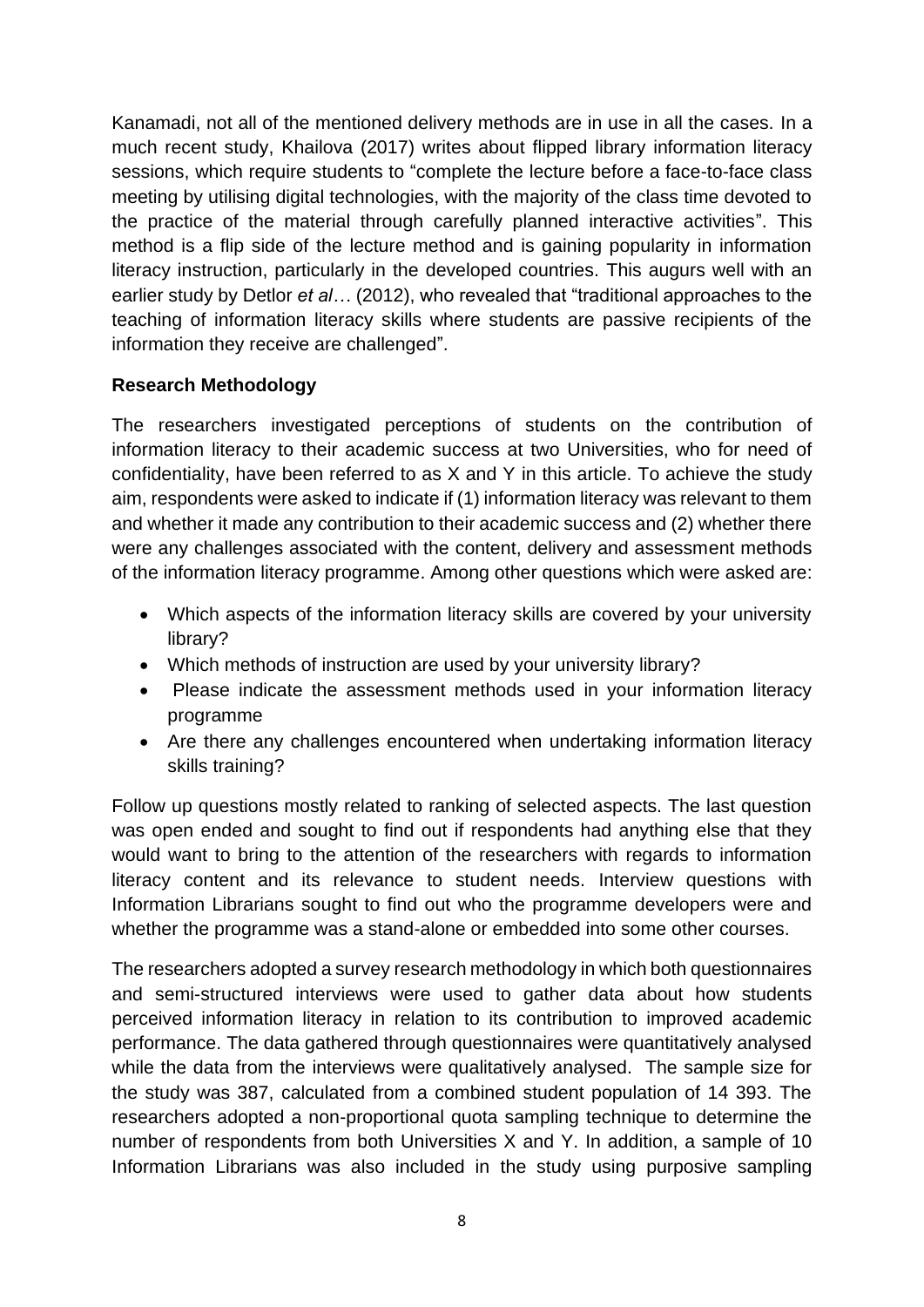Kanamadi, not all of the mentioned delivery methods are in use in all the cases. In a much recent study, Khailova (2017) writes about flipped library information literacy sessions, which require students to "complete the lecture before a face-to-face class meeting by utilising digital technologies, with the majority of the class time devoted to the practice of the material through carefully planned interactive activities". This method is a flip side of the lecture method and is gaining popularity in information literacy instruction, particularly in the developed countries. This augurs well with an earlier study by Detlor *et al…* (2012), who revealed that "traditional approaches to the teaching of information literacy skills where students are passive recipients of the information they receive are challenged".

#### **Research Methodology**

The researchers investigated perceptions of students on the contribution of information literacy to their academic success at two Universities, who for need of confidentiality, have been referred to as X and Y in this article. To achieve the study aim, respondents were asked to indicate if (1) information literacy was relevant to them and whether it made any contribution to their academic success and (2) whether there were any challenges associated with the content, delivery and assessment methods of the information literacy programme. Among other questions which were asked are:

- Which aspects of the information literacy skills are covered by your university library?
- Which methods of instruction are used by your university library?
- Please indicate the assessment methods used in your information literacy programme
- Are there any challenges encountered when undertaking information literacy skills training?

Follow up questions mostly related to ranking of selected aspects. The last question was open ended and sought to find out if respondents had anything else that they would want to bring to the attention of the researchers with regards to information literacy content and its relevance to student needs. Interview questions with Information Librarians sought to find out who the programme developers were and whether the programme was a stand-alone or embedded into some other courses.

The researchers adopted a survey research methodology in which both questionnaires and semi-structured interviews were used to gather data about how students perceived information literacy in relation to its contribution to improved academic performance. The data gathered through questionnaires were quantitatively analysed while the data from the interviews were qualitatively analysed. The sample size for the study was 387, calculated from a combined student population of 14 393. The researchers adopted a non-proportional quota sampling technique to determine the number of respondents from both Universities X and Y. In addition, a sample of 10 Information Librarians was also included in the study using purposive sampling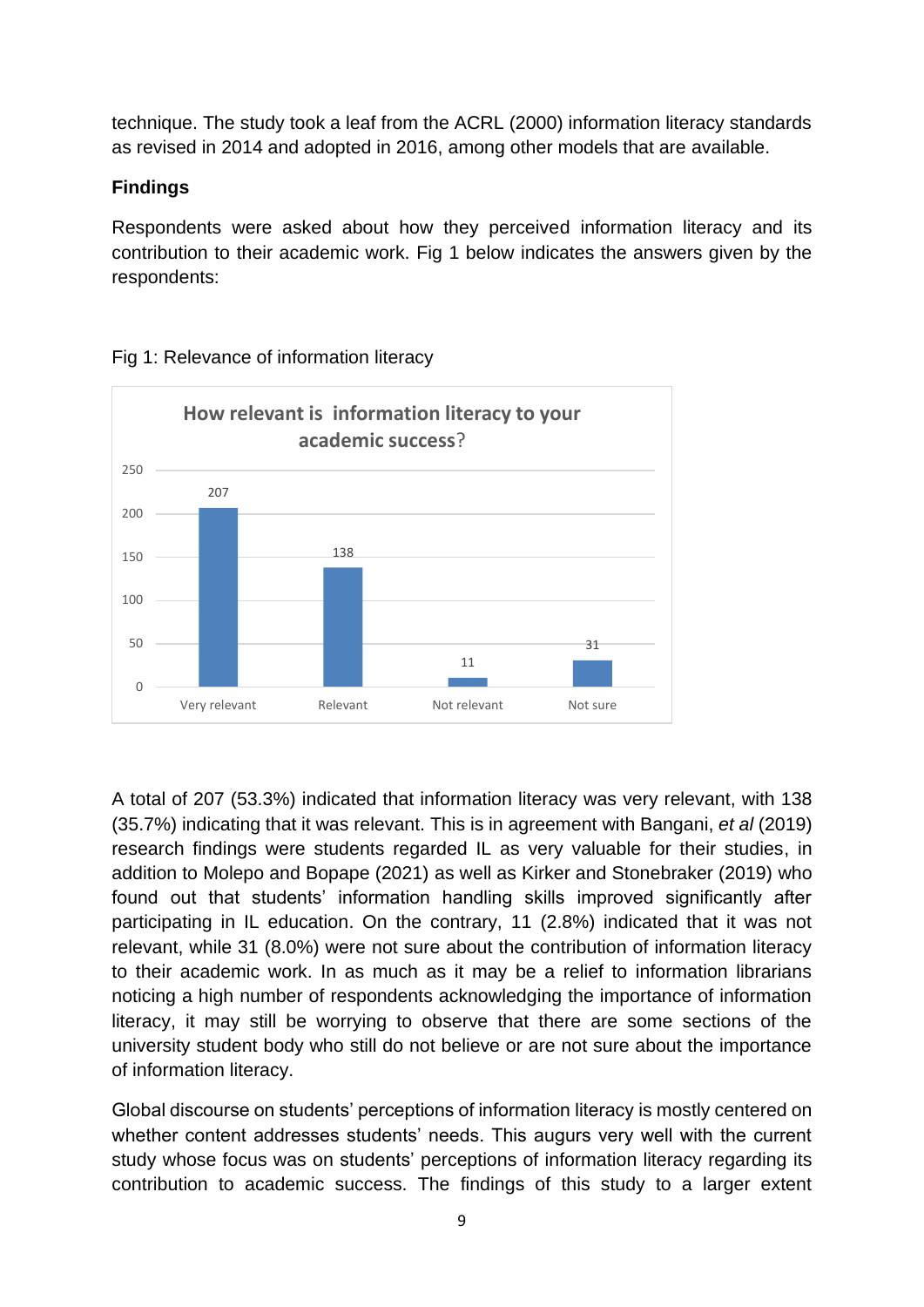technique. The study took a leaf from the ACRL (2000) information literacy standards as revised in 2014 and adopted in 2016, among other models that are available.

#### **Findings**

Respondents were asked about how they perceived information literacy and its contribution to their academic work. Fig 1 below indicates the answers given by the respondents:



### Fig 1: Relevance of information literacy

A total of 207 (53.3%) indicated that information literacy was very relevant, with 138 (35.7%) indicating that it was relevant. This is in agreement with Bangani, *et al* (2019) research findings were students regarded IL as very valuable for their studies, in addition to Molepo and Bopape (2021) as well as Kirker and Stonebraker (2019) who found out that students' information handling skills improved significantly after participating in IL education. On the contrary, 11 (2.8%) indicated that it was not relevant, while 31 (8.0%) were not sure about the contribution of information literacy to their academic work. In as much as it may be a relief to information librarians noticing a high number of respondents acknowledging the importance of information literacy, it may still be worrying to observe that there are some sections of the university student body who still do not believe or are not sure about the importance of information literacy.

Global discourse on students' perceptions of information literacy is mostly centered on whether content addresses students' needs. This augurs very well with the current study whose focus was on students' perceptions of information literacy regarding its contribution to academic success. The findings of this study to a larger extent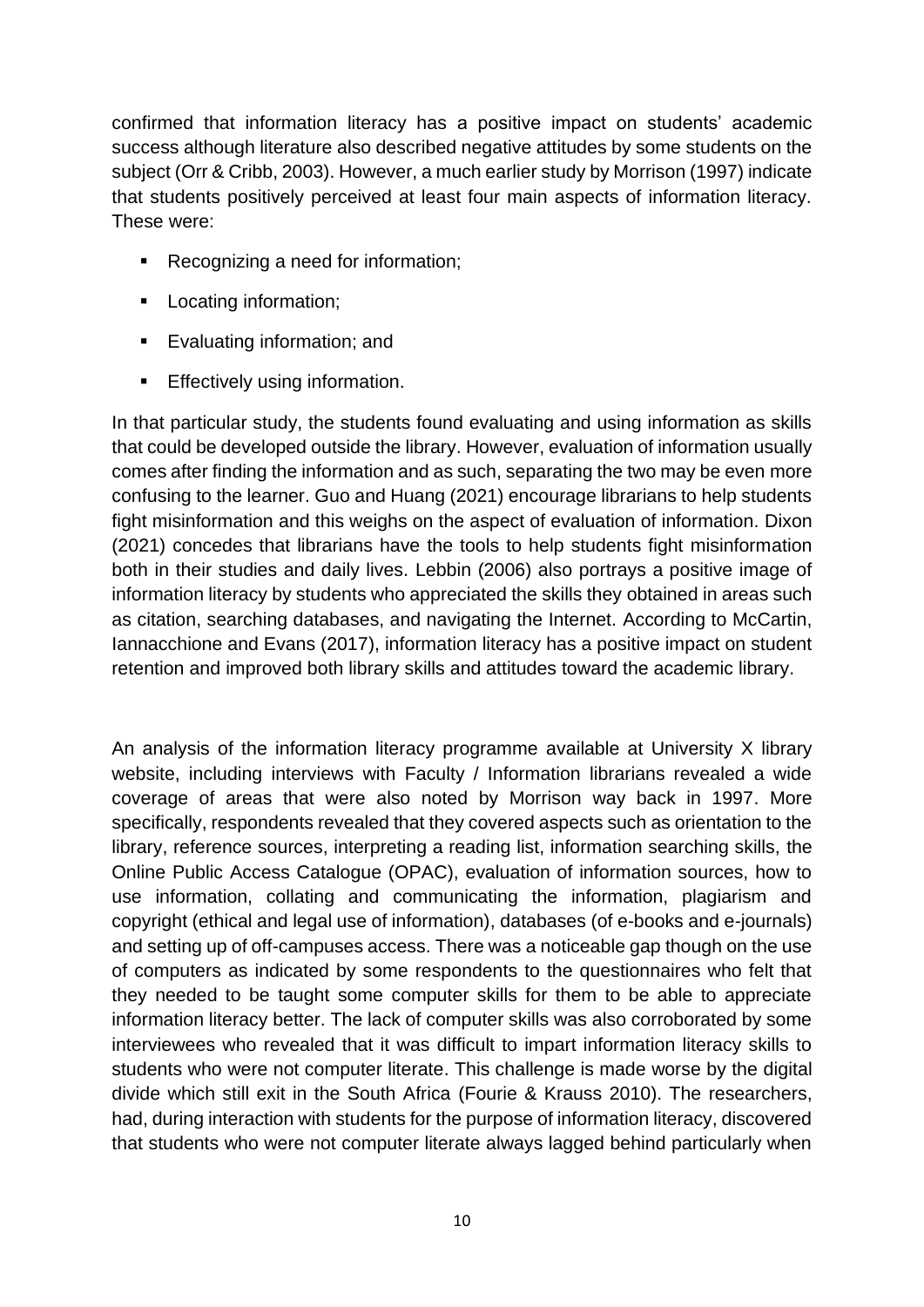confirmed that information literacy has a positive impact on students' academic success although literature also described negative attitudes by some students on the subject (Orr & Cribb, 2003). However, a much earlier study by Morrison (1997) indicate that students positively perceived at least four main aspects of information literacy. These were:

- Recognizing a need for information;
- Locating information;
- Evaluating information; and
- **Effectively using information.**

In that particular study, the students found evaluating and using information as skills that could be developed outside the library. However, evaluation of information usually comes after finding the information and as such, separating the two may be even more confusing to the learner. Guo and Huang (2021) encourage librarians to help students fight misinformation and this weighs on the aspect of evaluation of information. Dixon (2021) concedes that librarians have the tools to help students fight misinformation both in their studies and daily lives. Lebbin (2006) also portrays a positive image of information literacy by students who appreciated the skills they obtained in areas such as citation, searching databases, and navigating the Internet. According to McCartin, Iannacchione and Evans (2017), information literacy has a positive impact on student retention and improved both library skills and attitudes toward the academic library.

An analysis of the information literacy programme available at University X library website, including interviews with Faculty / Information librarians revealed a wide coverage of areas that were also noted by Morrison way back in 1997. More specifically, respondents revealed that they covered aspects such as orientation to the library, reference sources, interpreting a reading list, information searching skills, the Online Public Access Catalogue (OPAC), evaluation of information sources, how to use information, collating and communicating the information, plagiarism and copyright (ethical and legal use of information), databases (of e-books and e-journals) and setting up of off-campuses access. There was a noticeable gap though on the use of computers as indicated by some respondents to the questionnaires who felt that they needed to be taught some computer skills for them to be able to appreciate information literacy better. The lack of computer skills was also corroborated by some interviewees who revealed that it was difficult to impart information literacy skills to students who were not computer literate. This challenge is made worse by the digital divide which still exit in the South Africa (Fourie & Krauss 2010). The researchers, had, during interaction with students for the purpose of information literacy, discovered that students who were not computer literate always lagged behind particularly when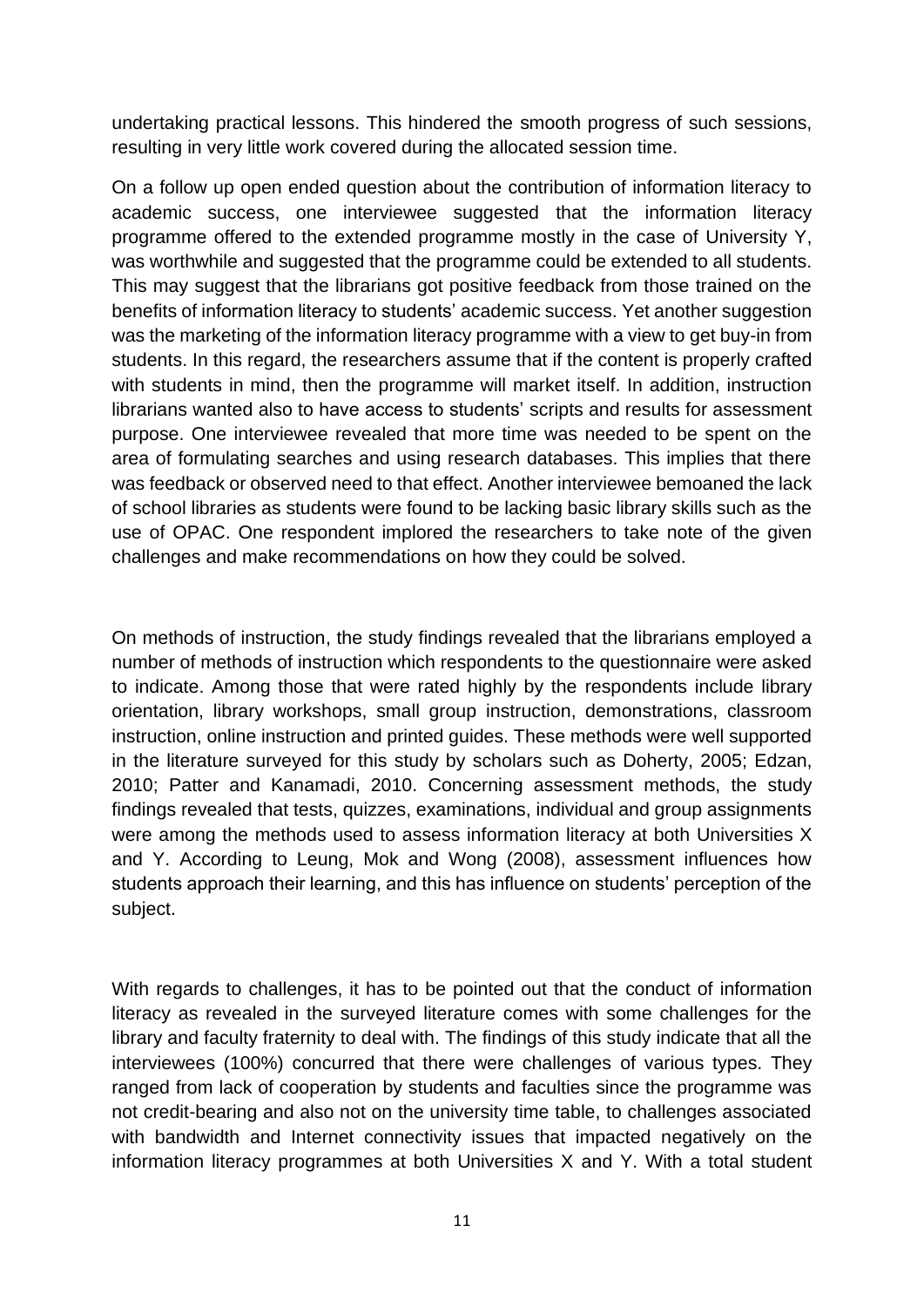undertaking practical lessons. This hindered the smooth progress of such sessions, resulting in very little work covered during the allocated session time.

On a follow up open ended question about the contribution of information literacy to academic success, one interviewee suggested that the information literacy programme offered to the extended programme mostly in the case of University Y, was worthwhile and suggested that the programme could be extended to all students. This may suggest that the librarians got positive feedback from those trained on the benefits of information literacy to students' academic success. Yet another suggestion was the marketing of the information literacy programme with a view to get buy-in from students. In this regard, the researchers assume that if the content is properly crafted with students in mind, then the programme will market itself. In addition, instruction librarians wanted also to have access to students' scripts and results for assessment purpose. One interviewee revealed that more time was needed to be spent on the area of formulating searches and using research databases. This implies that there was feedback or observed need to that effect. Another interviewee bemoaned the lack of school libraries as students were found to be lacking basic library skills such as the use of OPAC. One respondent implored the researchers to take note of the given challenges and make recommendations on how they could be solved.

On methods of instruction, the study findings revealed that the librarians employed a number of methods of instruction which respondents to the questionnaire were asked to indicate. Among those that were rated highly by the respondents include library orientation, library workshops, small group instruction, demonstrations, classroom instruction, online instruction and printed guides. These methods were well supported in the literature surveyed for this study by scholars such as Doherty, 2005; Edzan, 2010; Patter and Kanamadi, 2010. Concerning assessment methods, the study findings revealed that tests, quizzes, examinations, individual and group assignments were among the methods used to assess information literacy at both Universities X and Y. According to Leung, Mok and Wong (2008), assessment influences how students approach their learning, and this has influence on students' perception of the subject.

With regards to challenges, it has to be pointed out that the conduct of information literacy as revealed in the surveyed literature comes with some challenges for the library and faculty fraternity to deal with. The findings of this study indicate that all the interviewees (100%) concurred that there were challenges of various types. They ranged from lack of cooperation by students and faculties since the programme was not credit-bearing and also not on the university time table, to challenges associated with bandwidth and Internet connectivity issues that impacted negatively on the information literacy programmes at both Universities X and Y. With a total student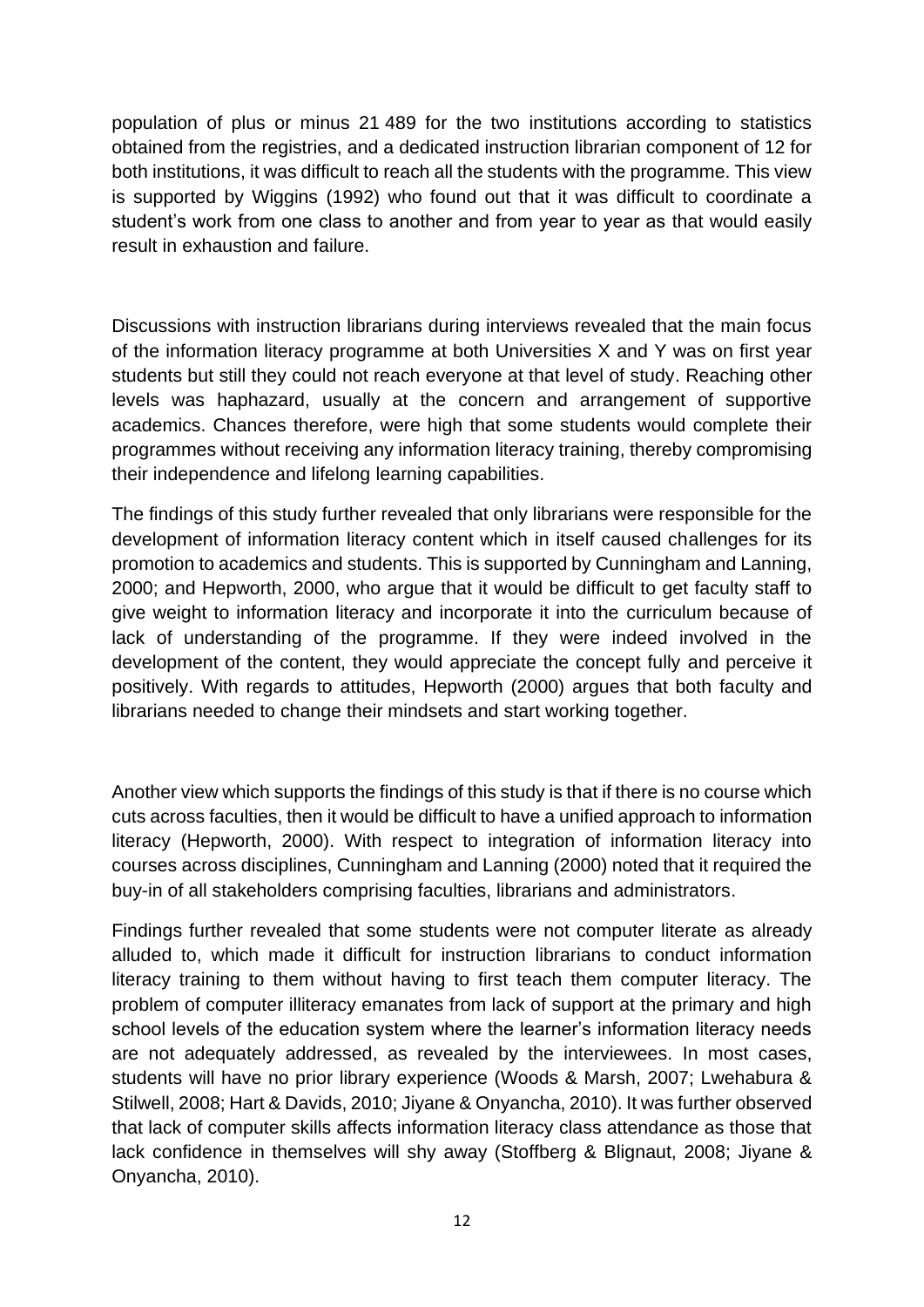population of plus or minus 21 489 for the two institutions according to statistics obtained from the registries, and a dedicated instruction librarian component of 12 for both institutions, it was difficult to reach all the students with the programme. This view is supported by Wiggins (1992) who found out that it was difficult to coordinate a student's work from one class to another and from year to year as that would easily result in exhaustion and failure.

Discussions with instruction librarians during interviews revealed that the main focus of the information literacy programme at both Universities X and Y was on first year students but still they could not reach everyone at that level of study. Reaching other levels was haphazard, usually at the concern and arrangement of supportive academics. Chances therefore, were high that some students would complete their programmes without receiving any information literacy training, thereby compromising their independence and lifelong learning capabilities.

The findings of this study further revealed that only librarians were responsible for the development of information literacy content which in itself caused challenges for its promotion to academics and students. This is supported by Cunningham and Lanning, 2000; and Hepworth, 2000, who argue that it would be difficult to get faculty staff to give weight to information literacy and incorporate it into the curriculum because of lack of understanding of the programme. If they were indeed involved in the development of the content, they would appreciate the concept fully and perceive it positively. With regards to attitudes, Hepworth (2000) argues that both faculty and librarians needed to change their mindsets and start working together.

Another view which supports the findings of this study is that if there is no course which cuts across faculties, then it would be difficult to have a unified approach to information literacy (Hepworth, 2000). With respect to integration of information literacy into courses across disciplines, Cunningham and Lanning (2000) noted that it required the buy-in of all stakeholders comprising faculties, librarians and administrators.

Findings further revealed that some students were not computer literate as already alluded to, which made it difficult for instruction librarians to conduct information literacy training to them without having to first teach them computer literacy. The problem of computer illiteracy emanates from lack of support at the primary and high school levels of the education system where the learner's information literacy needs are not adequately addressed, as revealed by the interviewees. In most cases, students will have no prior library experience (Woods & Marsh, 2007; Lwehabura & Stilwell, 2008; Hart & Davids, 2010; Jiyane & Onyancha, 2010). It was further observed that lack of computer skills affects information literacy class attendance as those that lack confidence in themselves will shy away (Stoffberg & Blignaut, 2008; Jiyane & Onyancha, 2010).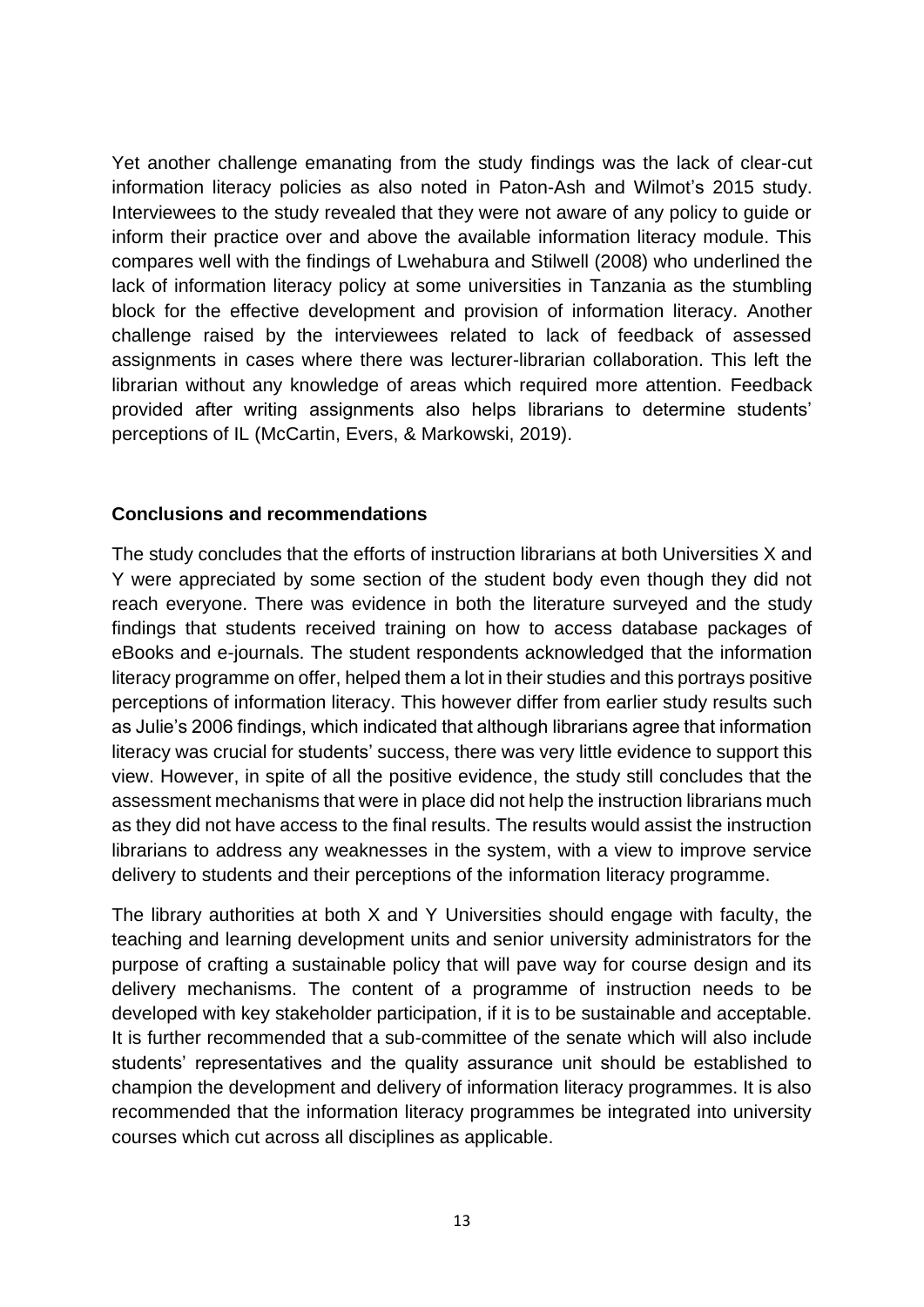Yet another challenge emanating from the study findings was the lack of clear-cut information literacy policies as also noted in Paton-Ash and Wilmot's 2015 study. Interviewees to the study revealed that they were not aware of any policy to guide or inform their practice over and above the available information literacy module. This compares well with the findings of Lwehabura and Stilwell (2008) who underlined the lack of information literacy policy at some universities in Tanzania as the stumbling block for the effective development and provision of information literacy. Another challenge raised by the interviewees related to lack of feedback of assessed assignments in cases where there was lecturer-librarian collaboration. This left the librarian without any knowledge of areas which required more attention. Feedback provided after writing assignments also helps librarians to determine students' perceptions of IL (McCartin, Evers, & Markowski, 2019).

#### **Conclusions and recommendations**

The study concludes that the efforts of instruction librarians at both Universities X and Y were appreciated by some section of the student body even though they did not reach everyone. There was evidence in both the literature surveyed and the study findings that students received training on how to access database packages of eBooks and e-journals. The student respondents acknowledged that the information literacy programme on offer, helped them a lot in their studies and this portrays positive perceptions of information literacy. This however differ from earlier study results such as Julie's 2006 findings, which indicated that although librarians agree that information literacy was crucial for students' success, there was very little evidence to support this view. However, in spite of all the positive evidence, the study still concludes that the assessment mechanisms that were in place did not help the instruction librarians much as they did not have access to the final results. The results would assist the instruction librarians to address any weaknesses in the system, with a view to improve service delivery to students and their perceptions of the information literacy programme.

The library authorities at both X and Y Universities should engage with faculty, the teaching and learning development units and senior university administrators for the purpose of crafting a sustainable policy that will pave way for course design and its delivery mechanisms. The content of a programme of instruction needs to be developed with key stakeholder participation, if it is to be sustainable and acceptable. It is further recommended that a sub-committee of the senate which will also include students' representatives and the quality assurance unit should be established to champion the development and delivery of information literacy programmes. It is also recommended that the information literacy programmes be integrated into university courses which cut across all disciplines as applicable.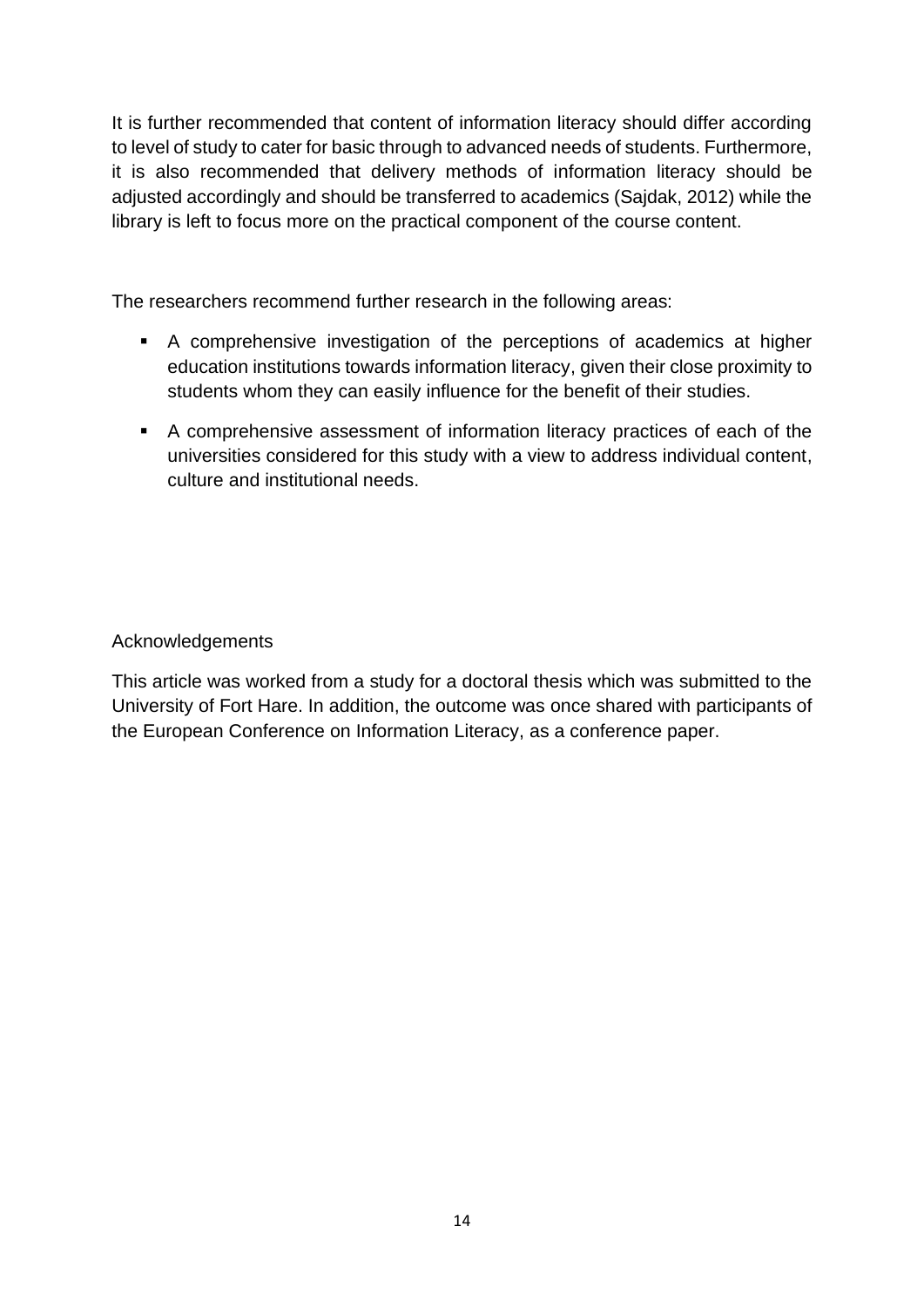It is further recommended that content of information literacy should differ according to level of study to cater for basic through to advanced needs of students. Furthermore, it is also recommended that delivery methods of information literacy should be adjusted accordingly and should be transferred to academics (Sajdak, 2012) while the library is left to focus more on the practical component of the course content.

The researchers recommend further research in the following areas:

- A comprehensive investigation of the perceptions of academics at higher education institutions towards information literacy, given their close proximity to students whom they can easily influence for the benefit of their studies.
- A comprehensive assessment of information literacy practices of each of the universities considered for this study with a view to address individual content, culture and institutional needs.

#### Acknowledgements

This article was worked from a study for a doctoral thesis which was submitted to the University of Fort Hare. In addition, the outcome was once shared with participants of the European Conference on Information Literacy, as a conference paper.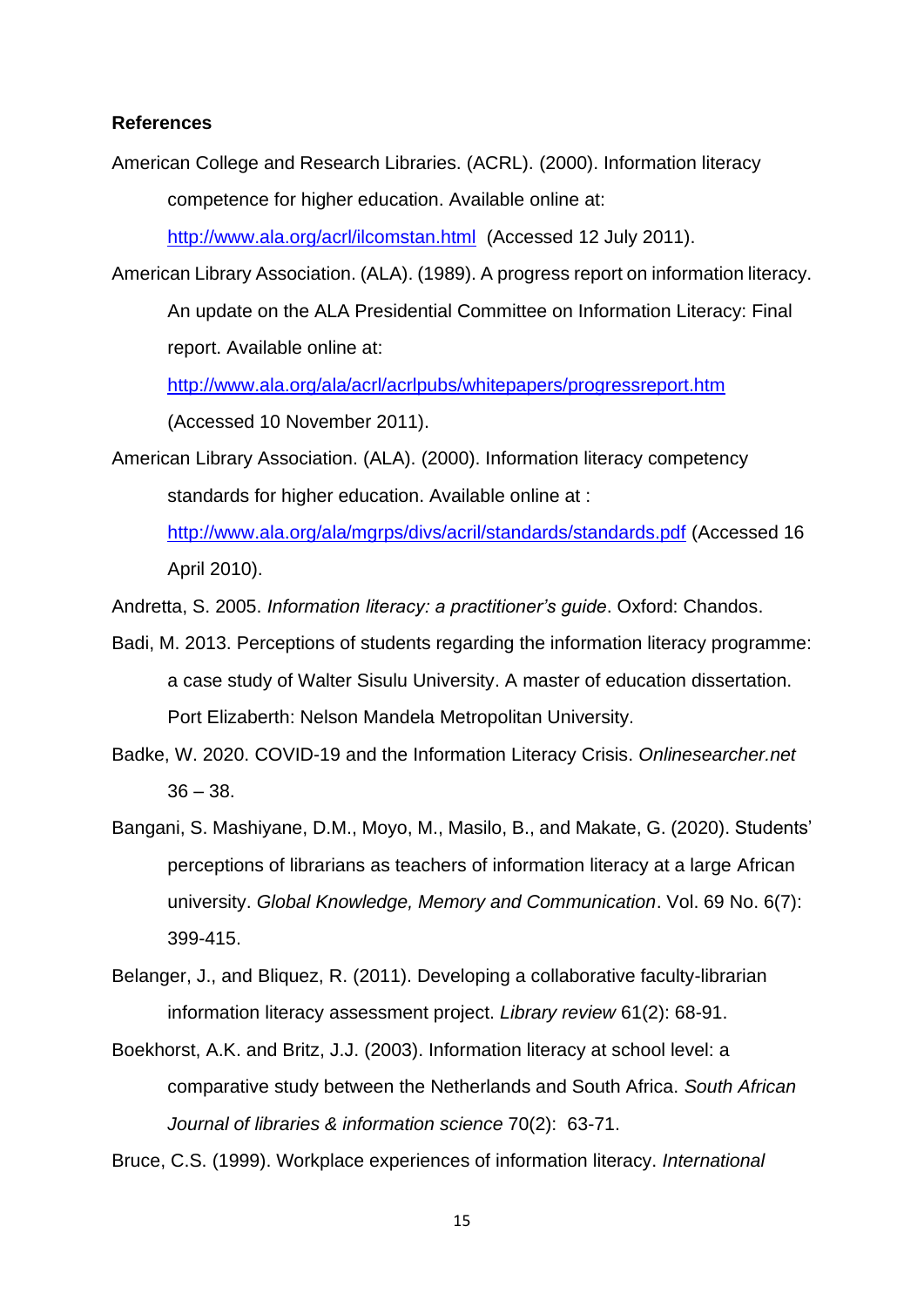#### **References**

American College and Research Libraries. (ACRL). (2000). Information literacy competence for higher education. Available online at:

<http://www.ala.org/acrl/ilcomstan.html>(Accessed 12 July 2011).

American Library Association. (ALA). (1989). A progress report on information literacy. An update on the ALA Presidential Committee on Information Literacy: Final report. Available online at:

<http://www.ala.org/ala/acrl/acrlpubs/whitepapers/progressreport.htm>

(Accessed 10 November 2011).

American Library Association. (ALA). (2000). Information literacy competency standards for higher education. Available online at :

<http://www.ala.org/ala/mgrps/divs/acril/standards/standards.pdf> (Accessed 16 April 2010).

Andretta, S. 2005. *Information literacy: a practitioner's guide*. Oxford: Chandos.

- Badi, M. 2013. Perceptions of students regarding the information literacy programme: a case study of Walter Sisulu University. A master of education dissertation. Port Elizaberth: Nelson Mandela Metropolitan University.
- Badke, W. 2020. COVID-19 and the Information Literacy Crisis. *Onlinesearcher.net*  $36 - 38$ .
- Bangani, S. Mashiyane, D.M., Moyo, M., Masilo, B., and Makate, G. (2020). Students' perceptions of librarians as teachers of information literacy at a large African university. *Global Knowledge, Memory and Communication*. Vol. 69 No. 6(7): 399-415.
- Belanger, J., and Bliquez, R. (2011). Developing a collaborative faculty-librarian information literacy assessment project. *Library review* 61(2): 68-91.
- Boekhorst, A.K. and Britz, J.J. (2003). Information literacy at school level: a comparative study between the Netherlands and South Africa. *South African Journal of libraries & information science* 70(2): 63-71.

Bruce, C.S. (1999). Workplace experiences of information literacy. *International*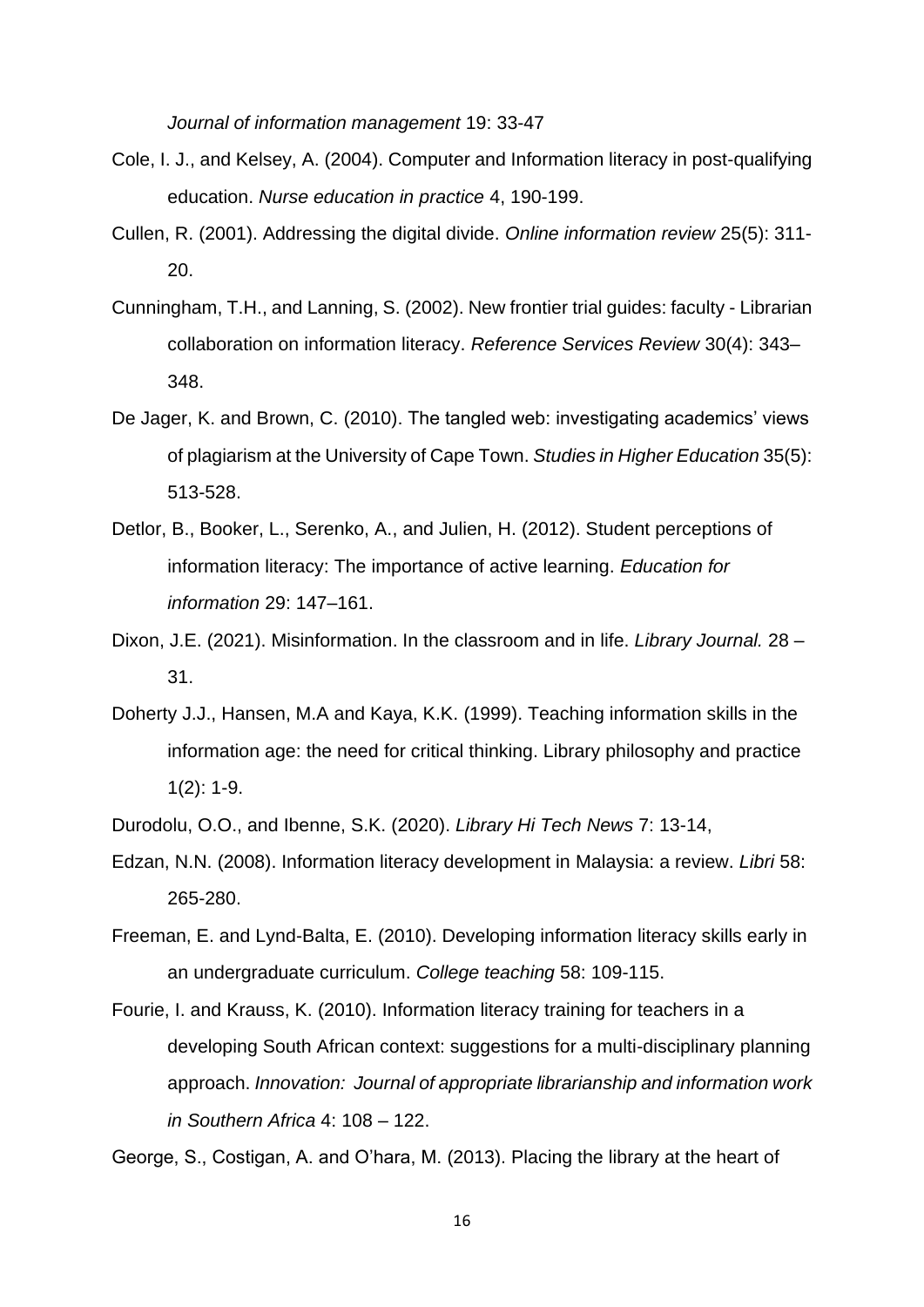*Journal of information management* 19: 33-47

- Cole, I. J., and Kelsey, A. (2004). Computer and Information literacy in post-qualifying education. *Nurse education in practice* 4, 190-199.
- Cullen, R. (2001). Addressing the digital divide. *Online information review* 25(5): 311- 20.
- Cunningham, T.H., and Lanning, S. (2002). New frontier trial guides: faculty Librarian collaboration on information literacy. *Reference Services Review* 30(4): 343– 348.
- De Jager, K. and Brown, C. (2010). The tangled web: investigating academics' views of plagiarism at the University of Cape Town. *Studies in Higher Education* 35(5): 513-528.
- Detlor, B., Booker, L., Serenko, A., and Julien, H. (2012). Student perceptions of information literacy: The importance of active learning. *Education for information* 29: 147–161.
- Dixon, J.E. (2021). Misinformation. In the classroom and in life. *Library Journal.* 28 31.
- Doherty J.J., Hansen, M.A and Kaya, K.K. (1999). Teaching information skills in the information age: the need for critical thinking. Library philosophy and practice 1(2): 1-9.
- Durodolu, O.O., and Ibenne, S.K. (2020). *Library Hi Tech News* 7: 13-14,
- Edzan, N.N. (2008). Information literacy development in Malaysia: a review. *Libri* 58: 265-280.
- Freeman, E. and Lynd-Balta, E. (2010). Developing information literacy skills early in an undergraduate curriculum. *College teaching* 58: 109-115.
- Fourie, I. and Krauss, K. (2010). Information literacy training for teachers in a developing South African context: suggestions for a multi-disciplinary planning approach. *Innovation: Journal of appropriate librarianship and information work in Southern Africa* 4: 108 – 122.

George, S., Costigan, A. and O'hara, M. (2013). Placing the library at the heart of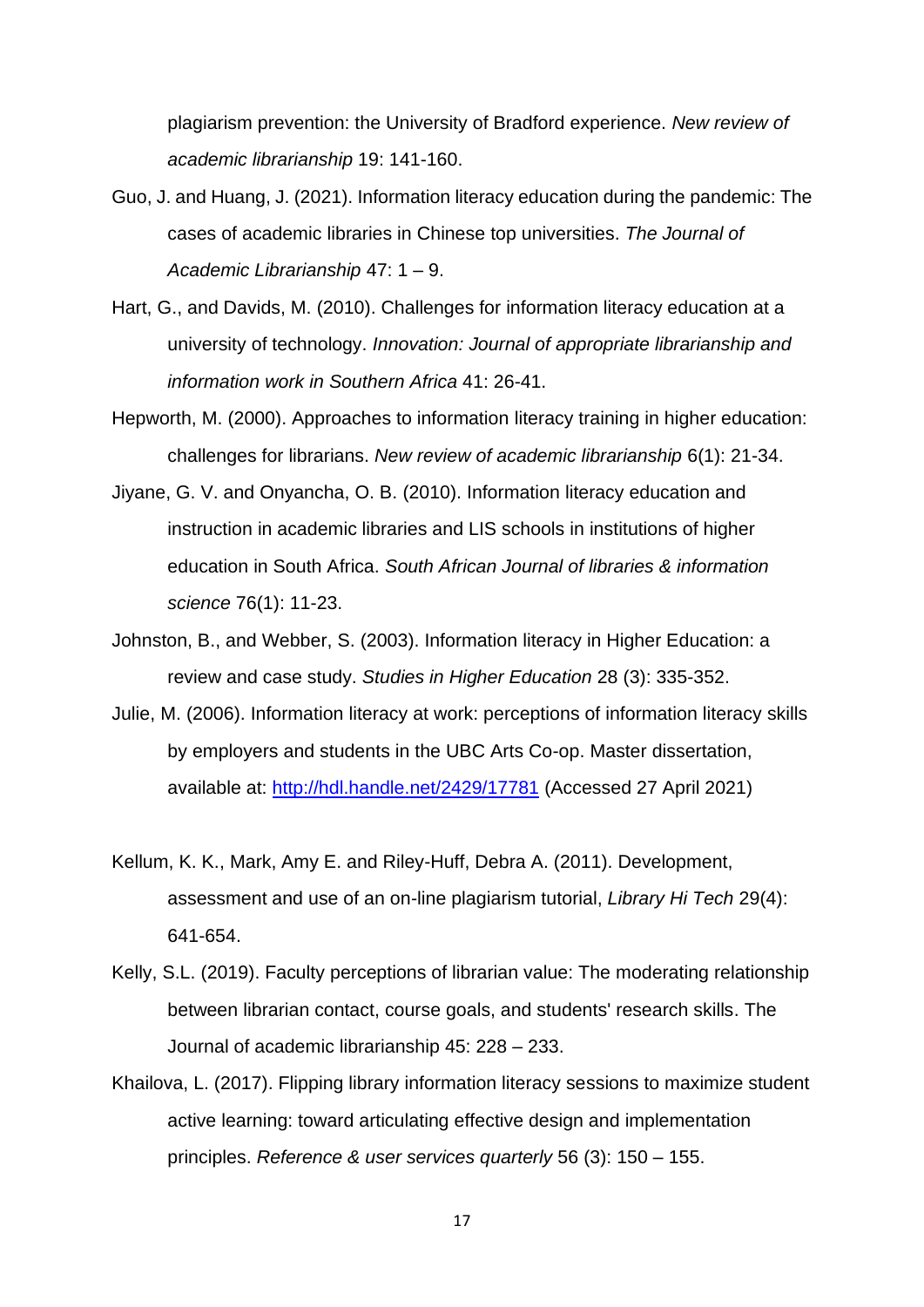plagiarism prevention: the University of Bradford experience. *New review of academic librarianship* 19: 141-160.

- Guo, J. and Huang, J. (2021). Information literacy education during the pandemic: The cases of academic libraries in Chinese top universities. *The Journal of Academic Librarianship* 47: 1 – 9.
- Hart, G., and Davids, M. (2010). Challenges for information literacy education at a university of technology. *Innovation: Journal of appropriate librarianship and information work in Southern Africa* 41: 26-41.
- Hepworth, M. (2000). Approaches to information literacy training in higher education: challenges for librarians. *New review of academic librarianship* 6(1): 21-34.
- Jiyane, G. V. and Onyancha, O. B. (2010). Information literacy education and instruction in academic libraries and LIS schools in institutions of higher education in South Africa. *South African Journal of libraries & information science* 76(1): 11-23.
- Johnston, B., and Webber, S. (2003). Information literacy in Higher Education: a review and case study. *Studies in Higher Education* 28 (3): 335-352.
- Julie, M. (2006). Information literacy at work: perceptions of information literacy skills by employers and students in the UBC Arts Co-op. Master dissertation, available at:<http://hdl.handle.net/2429/17781> (Accessed 27 April 2021)
- Kellum, K. K., Mark, Amy E. and Riley-Huff, Debra A. (2011). Development, assessment and use of an on-line plagiarism tutorial, *Library Hi Tech* 29(4): 641-654.
- Kelly, S.L. (2019). Faculty perceptions of librarian value: The moderating relationship between librarian contact, course goals, and students' research skills. The Journal of academic librarianship 45: 228 – 233.
- Khailova, L. (2017). Flipping library information literacy sessions to maximize student active learning: toward articulating effective design and implementation principles. *Reference & user services quarterly* 56 (3): 150 – 155.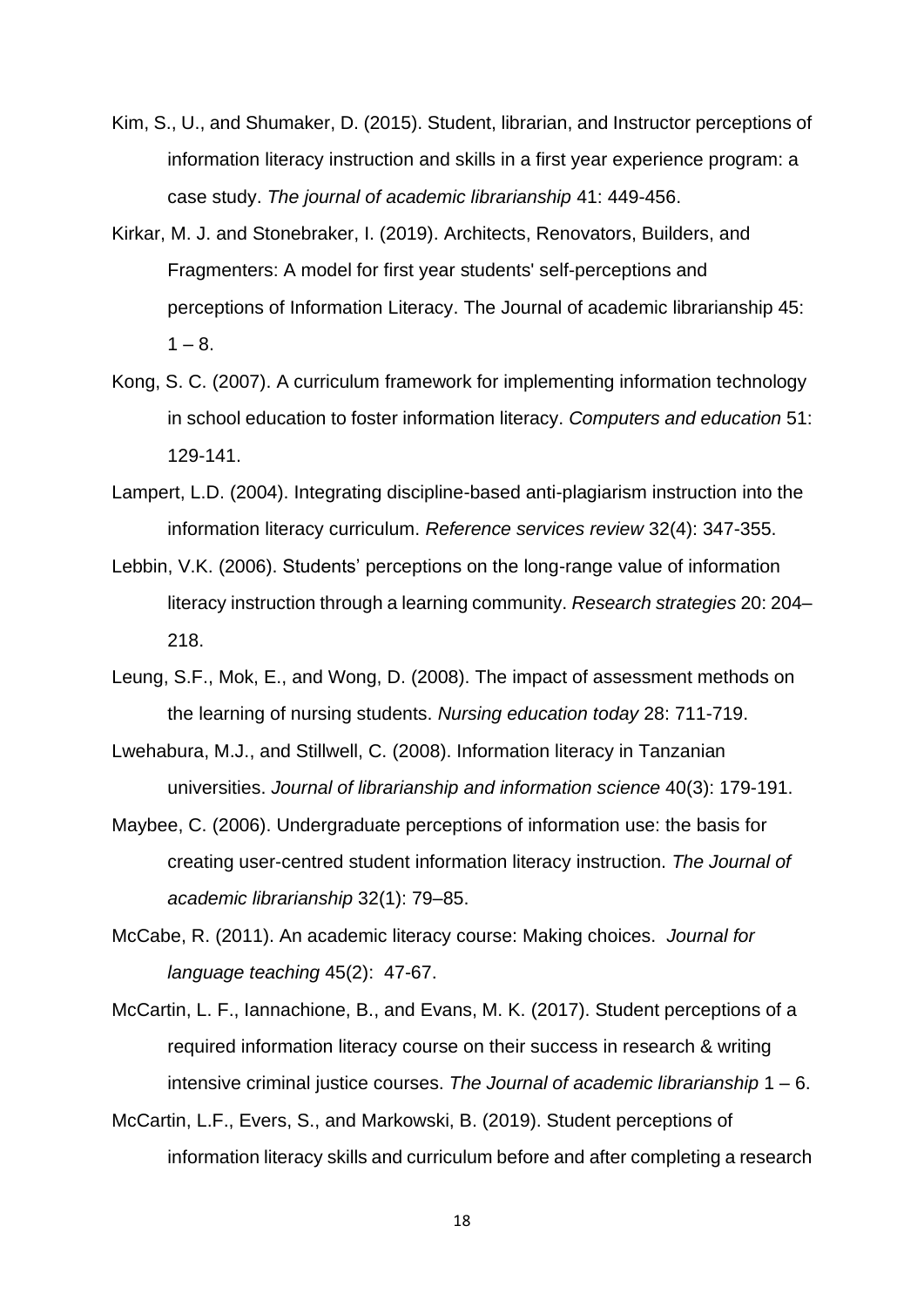- Kim, S., U., and Shumaker, D. (2015). Student, librarian, and Instructor perceptions of information literacy instruction and skills in a first year experience program: a case study. *The journal of academic librarianship* 41: 449-456.
- Kirkar, M. J. and Stonebraker, I. (2019). Architects, Renovators, Builders, and Fragmenters: A model for first year students' self-perceptions and perceptions of Information Literacy. The Journal of academic librarianship 45:  $1 - 8$ .
- Kong, S. C. (2007). A curriculum framework for implementing information technology in school education to foster information literacy. *Computers and education* 51: 129-141.
- Lampert, L.D. (2004). Integrating discipline-based anti-plagiarism instruction into the information literacy curriculum. *Reference services review* 32(4): 347-355.
- Lebbin, V.K. (2006). Students' perceptions on the long-range value of information literacy instruction through a learning community. *Research strategies* 20: 204– 218.
- Leung, S.F., Mok, E., and Wong, D. (2008). The impact of assessment methods on the learning of nursing students. *Nursing education today* 28: 711-719.
- Lwehabura, M.J., and Stillwell, C. (2008). Information literacy in Tanzanian universities. *Journal of librarianship and information science* 40(3): 179-191.
- Maybee, C. (2006). Undergraduate perceptions of information use: the basis for creating user-centred student information literacy instruction. *The Journal of academic librarianship* 32(1): 79–85.
- McCabe, R. (2011). An academic literacy course: Making choices. *Journal for language teaching* 45(2): 47-67.
- McCartin, L. F., Iannachione, B., and Evans, M. K. (2017). Student perceptions of a required information literacy course on their success in research & writing intensive criminal justice courses. *The Journal of academic librarianship* 1 – 6.
- McCartin, L.F., Evers, S., and Markowski, B. (2019). Student perceptions of information literacy skills and curriculum before and after completing a research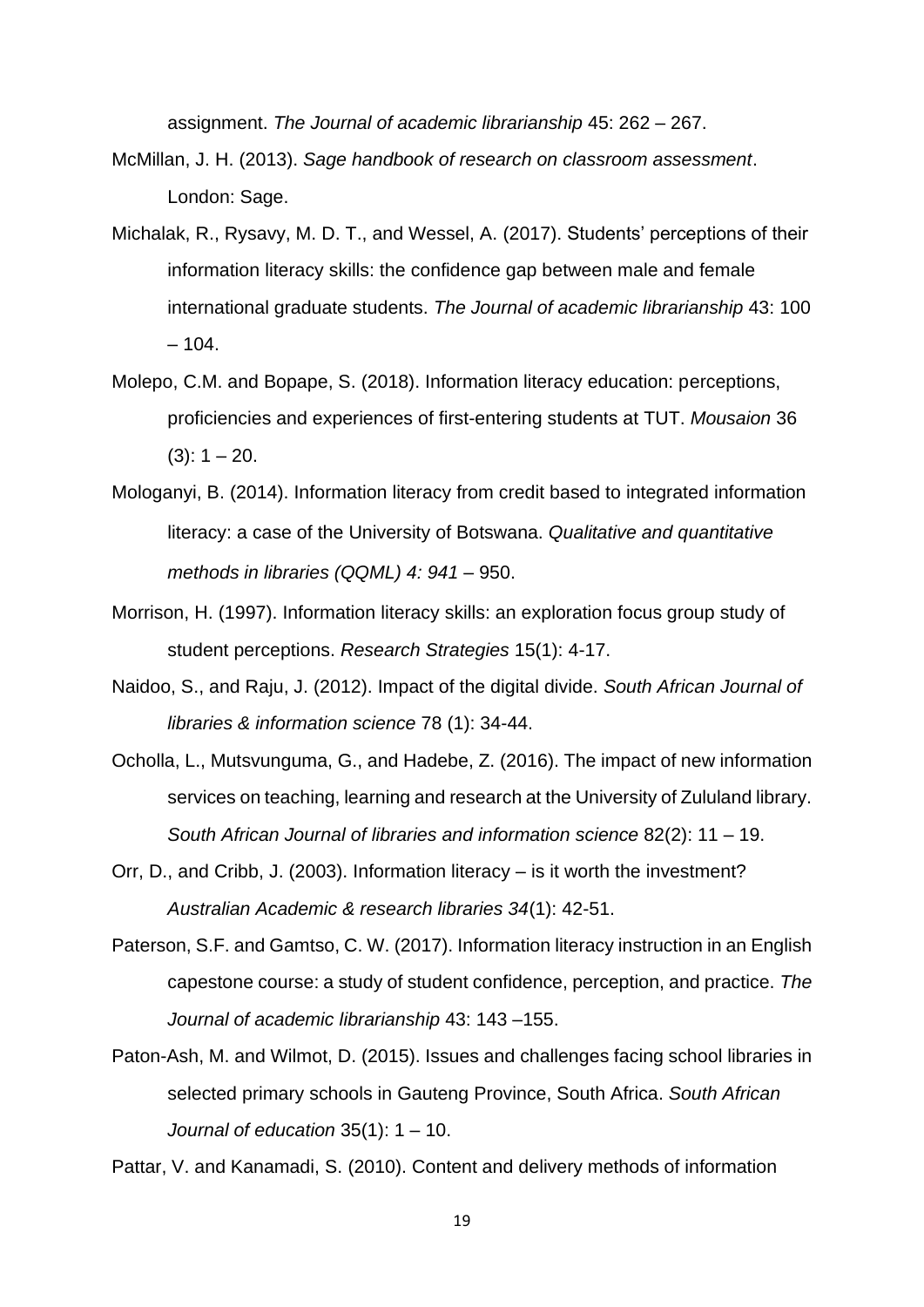assignment. *The Journal of academic librarianship* 45: 262 – 267.

- McMillan, J. H. (2013). *Sage handbook of research on classroom assessment*. London: Sage.
- Michalak, R., Rysavy, M. D. T., and Wessel, A. (2017). Students' perceptions of their information literacy skills: the confidence gap between male and female international graduate students. *The Journal of academic librarianship* 43: 100  $-104.$
- Molepo, C.M. and Bopape, S. (2018). Information literacy education: perceptions, proficiencies and experiences of first-entering students at TUT. *Mousaion* 36  $(3): 1 - 20.$
- Mologanyi, B. (2014). Information literacy from credit based to integrated information literacy: a case of the University of Botswana. *Qualitative and quantitative methods in libraries (QQML) 4: 941* – 950.
- Morrison, H. (1997). Information literacy skills: an exploration focus group study of student perceptions. *Research Strategies* 15(1): 4-17.
- Naidoo, S., and Raju, J. (2012). Impact of the digital divide. *South African Journal of libraries & information science* 78 (1): 34-44.
- Ocholla, L., Mutsvunguma, G., and Hadebe, Z. (2016). The impact of new information services on teaching, learning and research at the University of Zululand library. *South African Journal of libraries and information science* 82(2): 11 – 19.
- Orr, D., and Cribb, J. (2003). Information literacy is it worth the investment? *Australian Academic & research libraries 34*(1): 42-51.
- Paterson, S.F. and Gamtso, C. W. (2017). Information literacy instruction in an English capestone course: a study of student confidence, perception, and practice. *The Journal of academic librarianship* 43: 143 –155.
- Paton-Ash, M. and Wilmot, D. (2015). Issues and challenges facing school libraries in selected primary schools in Gauteng Province, South Africa. *South African Journal of education* 35(1): 1 – 10.

Pattar, V. and Kanamadi, S. (2010). Content and delivery methods of information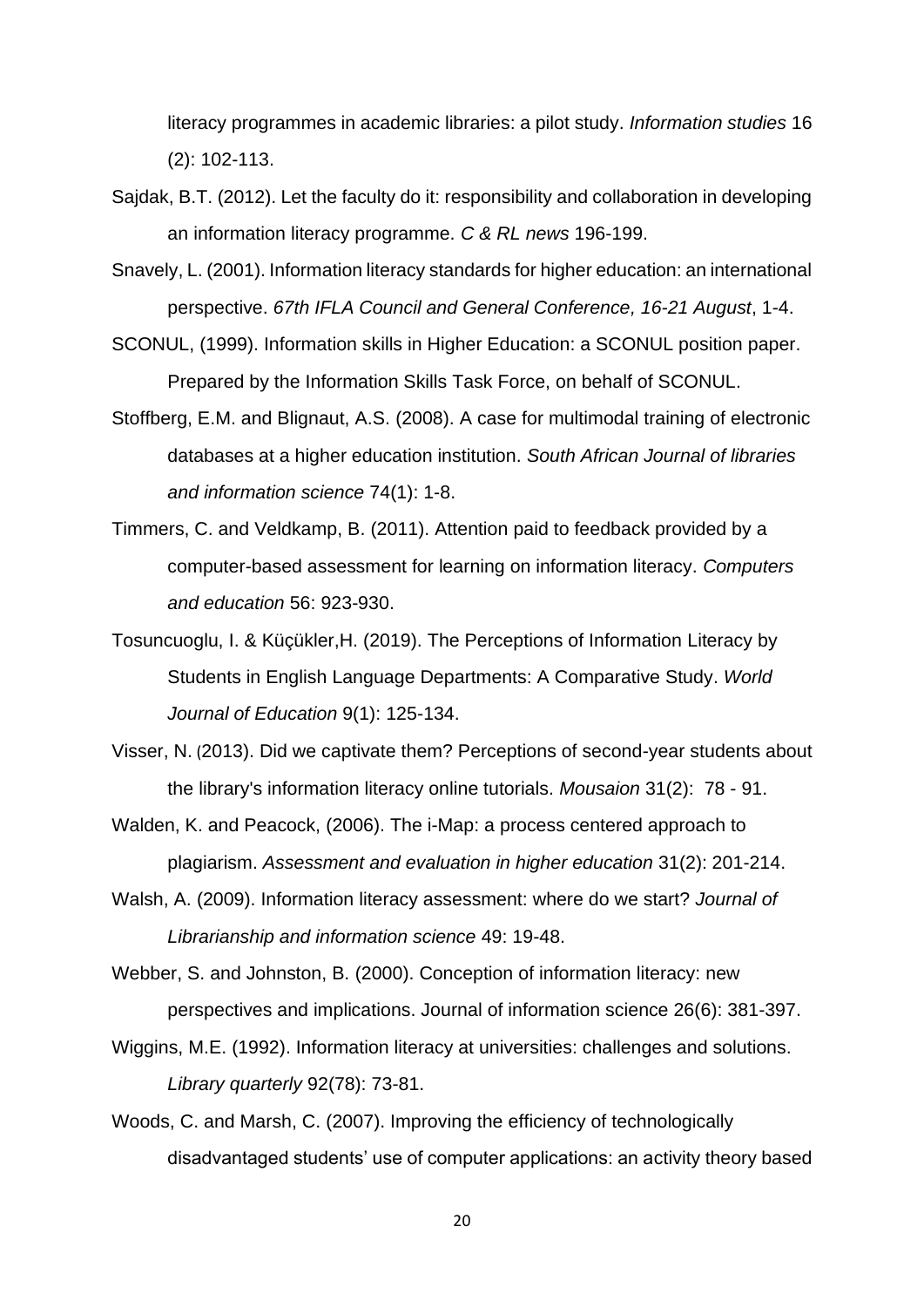literacy programmes in academic libraries: a pilot study. *Information studies* 16 (2): 102-113.

- Sajdak, B.T. (2012). Let the faculty do it: responsibility and collaboration in developing an information literacy programme. *C & RL news* 196-199.
- Snavely, L. (2001). Information literacy standards for higher education: an international perspective. *67th IFLA Council and General Conference, 16-21 August*, 1-4.
- SCONUL, (1999). Information skills in Higher Education: a SCONUL position paper. Prepared by the Information Skills Task Force, on behalf of SCONUL.
- Stoffberg, E.M. and Blignaut, A.S. (2008). A case for multimodal training of electronic databases at a higher education institution. *South African Journal of libraries and information science* 74(1): 1-8.
- Timmers, C. and Veldkamp, B. (2011). Attention paid to feedback provided by a computer-based assessment for learning on information literacy. *Computers and education* 56: 923-930.
- Tosuncuoglu, I. & Küçükler,H. (2019). The Perceptions of Information Literacy by Students in English Language Departments: A Comparative Study. *World Journal of Education* 9(1): 125-134.

Visser, N. (2013). Did we captivate them? Perceptions of second-year students about the library's information literacy online tutorials. *Mousaion* 31(2): 78 - 91.

- Walden, K. and Peacock, (2006). The i-Map: a process centered approach to plagiarism. *Assessment and evaluation in higher education* 31(2): 201-214.
- Walsh, A. (2009). Information literacy assessment: where do we start? *Journal of Librarianship and information science* 49: 19-48.
- Webber, S. and Johnston, B. (2000). Conception of information literacy: new perspectives and implications. Journal of information science 26(6): 381-397.
- Wiggins, M.E. (1992). Information literacy at universities: challenges and solutions. *Library quarterly* 92(78): 73-81.
- Woods, C. and Marsh, C. (2007). Improving the efficiency of technologically disadvantaged students' use of computer applications: an activity theory based